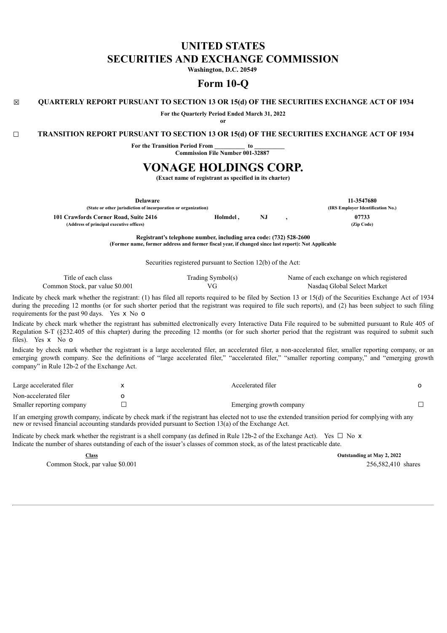# **UNITED STATES SECURITIES AND EXCHANGE COMMISSION**

**Washington, D.C. 20549**

# **Form 10-Q**

## ☒ **QUARTERLY REPORT PURSUANT TO SECTION 13 OR 15(d) OF THE SECURITIES EXCHANGE ACT OF 1934**

**For the Quarterly Period Ended March 31, 2022**

**or**

☐ **TRANSITION REPORT PURSUANT TO SECTION 13 OR 15(d) OF THE SECURITIES EXCHANGE ACT OF 1934**

**For the Transition Period From \_\_\_\_\_\_\_\_\_\_ to \_\_\_\_\_\_\_\_\_\_**

**Commission File Number 001-32887**

# **VONAGE HOLDINGS CORP.**

**(Exact name of registrant as specified in its charter)**

| Delaware<br>(State or other jurisdiction of incorporation or organization)                                                                                               |          |    | 11-3547680<br>(IRS Employer Identification No.) |
|--------------------------------------------------------------------------------------------------------------------------------------------------------------------------|----------|----|-------------------------------------------------|
| 101 Crawfords Corner Road, Suite 2416<br>(Address of principal executive offices)                                                                                        | Holmdel. | NJ | 07733<br>(Zip Code)                             |
| Registrant's telephone number, including area code: (732) 528-2600<br>(Former name, former address and former fiscal year, if changed since last report): Not Applicable |          |    |                                                 |

Securities registered pursuant to Section 12(b) of the Act:

| Title of each class             | Trading Symbol(s) | Name of each exchange on which registered |
|---------------------------------|-------------------|-------------------------------------------|
| Common Stock, par value \$0.001 | VG                | Nasdaq Global Select Market               |

Indicate by check mark whether the registrant: (1) has filed all reports required to be filed by Section 13 or 15(d) of the Securities Exchange Act of 1934 during the preceding 12 months (or for such shorter period that the registrant was required to file such reports), and (2) has been subject to such filing requirements for the past 90 days. Yes x No o

Indicate by check mark whether the registrant has submitted electronically every Interactive Data File required to be submitted pursuant to Rule 405 of Regulation S-T (§232.405 of this chapter) during the preceding 12 months (or for such shorter period that the registrant was required to submit such files). Yes x No o

Indicate by check mark whether the registrant is a large accelerated filer, an accelerated filer, a non-accelerated filer, smaller reporting company, or an emerging growth company. See the definitions of "large accelerated filer," "accelerated filer," "smaller reporting company," and "emerging growth company" in Rule 12b-2 of the Exchange Act.

| Large accelerated filer   | Accelerated filer                                                                                                                                                                                                                                                                                                                                                                                                                                                                           |  |
|---------------------------|---------------------------------------------------------------------------------------------------------------------------------------------------------------------------------------------------------------------------------------------------------------------------------------------------------------------------------------------------------------------------------------------------------------------------------------------------------------------------------------------|--|
| Non-accelerated filer     |                                                                                                                                                                                                                                                                                                                                                                                                                                                                                             |  |
| Smaller reporting company | Emerging growth company                                                                                                                                                                                                                                                                                                                                                                                                                                                                     |  |
| $\mathbf{r}$              | $\mathcal{A} = \{ \mathcal{A}, \mathcal{A}, \mathcal{A}, \mathcal{A}, \mathcal{A}, \mathcal{A}, \mathcal{A}, \mathcal{A}, \mathcal{A}, \mathcal{A}, \mathcal{A}, \mathcal{A}, \mathcal{A}, \mathcal{A}, \mathcal{A}, \mathcal{A}, \mathcal{A}, \mathcal{A}, \mathcal{A}, \mathcal{A}, \mathcal{A}, \mathcal{A}, \mathcal{A}, \mathcal{A}, \mathcal{A}, \mathcal{A}, \mathcal{A}, \mathcal{A}, \mathcal{A}, \mathcal{A}, \mathcal{A}, \mathcal{A}, \mathcal{A}, \mathcal{A}, \mathcal{A}, \$ |  |

If an emerging growth company, indicate by check mark if the registrant has elected not to use the extended transition period for complying with any new or revised financial accounting standards provided pursuant to Section 13(a) of the Exchange Act.

Indicate by check mark whether the registrant is a shell company (as defined in Rule 12b-2 of the Exchange Act). Yes  $\Box$  No x Indicate the number of shares outstanding of each of the issuer's classes of common stock, as of the latest practicable date.

**Class Outstanding at May 2, 2022** Common Stock, par value \$0.001 256,582,410 shares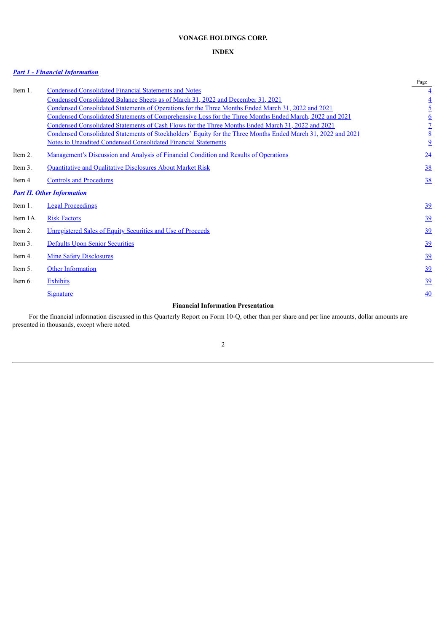# **VONAGE HOLDINGS CORP.**

# **INDEX**

Page

# *Part 1 - Financial Information*

| Item 1.  | <b>Condensed Consolidated Financial Statements and Notes</b>                                                 | $\overline{4}$              |
|----------|--------------------------------------------------------------------------------------------------------------|-----------------------------|
|          | Condensed Consolidated Balance Sheets as of March 31, 2022 and December 31, 2021                             | $\overline{4}$              |
|          | Condensed Consolidated Statements of Operations for the Three Months Ended March 31, 2022 and 2021           | <u>5</u>                    |
|          | Condensed Consolidated Statements of Comprehensive Loss for the Three Months Ended March, 2022 and 2021      |                             |
|          | Condensed Consolidated Statements of Cash Flows for the Three Months Ended March 31, 2022 and 2021           | $\frac{6}{7}$ $\frac{8}{9}$ |
|          | Condensed Consolidated Statements of Stockholders' Equity for the Three Months Ended March 31, 2022 and 2021 |                             |
|          | <b>Notes to Unaudited Condensed Consolidated Financial Statements</b>                                        |                             |
| Item 2.  | <u>Management's Discussion and Analysis of Financial Condition and Results of Operations</u>                 | 24                          |
| Item 3.  | Quantitative and Qualitative Disclosures About Market Risk                                                   | <u>38</u>                   |
| Item 4   | <b>Controls and Procedures</b>                                                                               | 38                          |
|          | <b>Part II. Other Information</b>                                                                            |                             |
| Item 1.  | <b>Legal Proceedings</b>                                                                                     | 39                          |
| Item 1A. | <b>Risk Factors</b>                                                                                          | 39                          |
| Item 2.  | Unregistered Sales of Equity Securities and Use of Proceeds                                                  | <u>39</u>                   |
| Item 3.  | <b>Defaults Upon Senior Securities</b>                                                                       | 39                          |
| Item 4.  | <b>Mine Safety Disclosures</b>                                                                               | 39                          |
| Item 5.  | <b>Other Information</b>                                                                                     | <u>39</u>                   |
| Item 6.  | <b>Exhibits</b>                                                                                              | 39                          |
|          | <b>Signature</b>                                                                                             | 40                          |
|          | <b>Financial Information Presentation</b>                                                                    |                             |

For the financial information discussed in this Quarterly Report on Form 10-Q, other than per share and per line amounts, dollar amounts are presented in thousands, except where noted.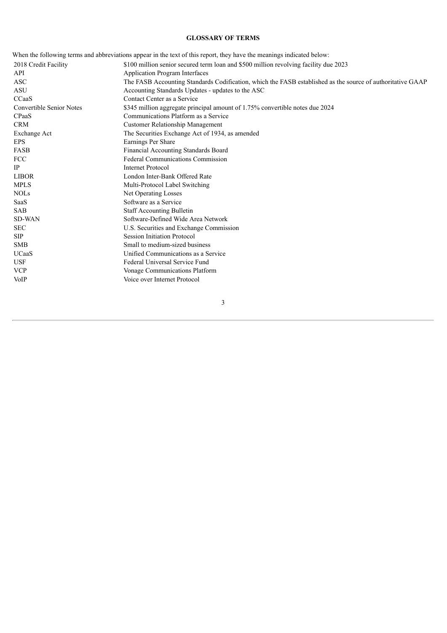# **GLOSSARY OF TERMS**

When the following terms and abbreviations appear in the text of this report, they have the meanings indicated below:

<span id="page-2-0"></span>

| 2018 Credit Facility     | \$100 million senior secured term loan and \$500 million revolving facility due 2023                       |
|--------------------------|------------------------------------------------------------------------------------------------------------|
| API                      | Application Program Interfaces                                                                             |
| ASC                      | The FASB Accounting Standards Codification, which the FASB established as the source of authoritative GAAP |
| ASU                      | Accounting Standards Updates - updates to the ASC                                                          |
| CCaaS                    | Contact Center as a Service                                                                                |
| Convertible Senior Notes | \$345 million aggregate principal amount of 1.75% convertible notes due 2024                               |
| CPaaS                    | Communications Platform as a Service                                                                       |
| <b>CRM</b>               | <b>Customer Relationship Management</b>                                                                    |
| <b>Exchange Act</b>      | The Securities Exchange Act of 1934, as amended                                                            |
| EPS                      | Earnings Per Share                                                                                         |
| FASB                     | Financial Accounting Standards Board                                                                       |
| <b>FCC</b>               | <b>Federal Communications Commission</b>                                                                   |
| IP                       | <b>Internet Protocol</b>                                                                                   |
| <b>LIBOR</b>             | London Inter-Bank Offered Rate                                                                             |
| <b>MPLS</b>              | Multi-Protocol Label Switching                                                                             |
| <b>NOLs</b>              | Net Operating Losses                                                                                       |
| SaaS                     | Software as a Service                                                                                      |
| SAB                      | <b>Staff Accounting Bulletin</b>                                                                           |
| <b>SD-WAN</b>            | Software-Defined Wide Area Network                                                                         |
| <b>SEC</b>               | U.S. Securities and Exchange Commission                                                                    |
| <b>SIP</b>               | <b>Session Initiation Protocol</b>                                                                         |
| SMB                      | Small to medium-sized business                                                                             |
| UCaaS                    | Unified Communications as a Service                                                                        |
| <b>USF</b>               | Federal Universal Service Fund                                                                             |
| <b>VCP</b>               | Vonage Communications Platform                                                                             |
| <b>VoIP</b>              | Voice over Internet Protocol                                                                               |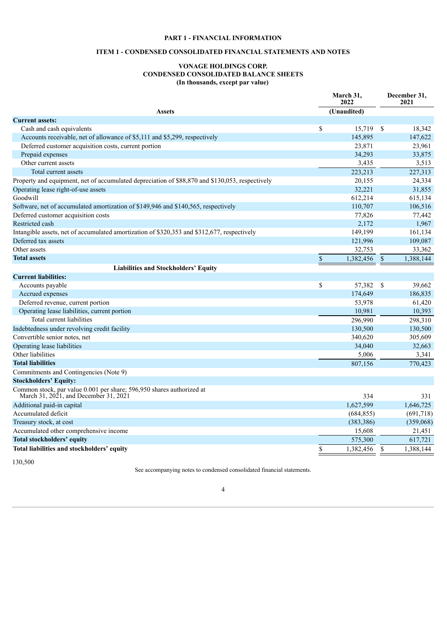# **PART 1 - FINANCIAL INFORMATION**

# **ITEM 1 - CONDENSED CONSOLIDATED FINANCIAL STATEMENTS AND NOTES**

## **VONAGE HOLDINGS CORP. CONDENSED CONSOLIDATED BALANCE SHEETS (In thousands, except par value)**

<span id="page-3-0"></span>

|                                                                                                                | March 31,<br>2022 |            |               | December 31,<br>2021 |
|----------------------------------------------------------------------------------------------------------------|-------------------|------------|---------------|----------------------|
| <b>Assets</b>                                                                                                  | (Unaudited)       |            |               |                      |
| <b>Current assets:</b>                                                                                         |                   |            |               |                      |
| Cash and cash equivalents                                                                                      | \$                | 15,719 \$  |               | 18,342               |
| Accounts receivable, net of allowance of \$5,111 and \$5,299, respectively                                     |                   | 145,895    |               | 147,622              |
| Deferred customer acquisition costs, current portion                                                           |                   | 23,871     |               | 23,961               |
| Prepaid expenses                                                                                               |                   | 34,293     |               | 33,875               |
| Other current assets                                                                                           |                   | 3,435      |               | 3.513                |
| Total current assets                                                                                           |                   | 223,213    |               | 227,313              |
| Property and equipment, net of accumulated depreciation of \$88,870 and \$130,053, respectively                |                   | 20,155     |               | 24,334               |
| Operating lease right-of-use assets                                                                            |                   | 32,221     |               | 31,855               |
| Goodwill                                                                                                       |                   | 612,214    |               | 615,134              |
| Software, net of accumulated amortization of \$149,946 and \$140,565, respectively                             |                   | 110,707    |               | 106,516              |
| Deferred customer acquisition costs                                                                            |                   | 77,826     |               | 77,442               |
| Restricted cash                                                                                                |                   | 2,172      |               | 1,967                |
| Intangible assets, net of accumulated amortization of \$320,353 and \$312,677, respectively                    |                   | 149,199    |               | 161,134              |
| Deferred tax assets                                                                                            |                   | 121,996    |               | 109,087              |
| Other assets                                                                                                   |                   | 32,753     |               | 33,362               |
| <b>Total assets</b>                                                                                            | $\mathbb{S}$      | 1,382,456  | $\mathcal{S}$ | 1,388,144            |
| <b>Liabilities and Stockholders' Equity</b>                                                                    |                   |            |               |                      |
| <b>Current liabilities:</b>                                                                                    |                   |            |               |                      |
| Accounts payable                                                                                               | \$                | 57,382     | -S            | 39.662               |
| Accrued expenses                                                                                               |                   | 174,649    |               | 186,835              |
| Deferred revenue, current portion                                                                              |                   | 53,978     |               | 61,420               |
| Operating lease liabilities, current portion                                                                   |                   | 10,981     |               | 10,393               |
| Total current liabilities                                                                                      |                   | 296,990    |               | 298,310              |
| Indebtedness under revolving credit facility                                                                   |                   | 130,500    |               | 130,500              |
| Convertible senior notes, net                                                                                  |                   | 340,620    |               | 305,609              |
| Operating lease liabilities                                                                                    |                   | 34,040     |               | 32,663               |
| Other liabilities                                                                                              |                   | 5,006      |               | 3,341                |
| <b>Total liabilities</b>                                                                                       |                   | 807,156    |               | 770,423              |
| Commitments and Contingencies (Note 9)                                                                         |                   |            |               |                      |
| <b>Stockholders' Equity:</b>                                                                                   |                   |            |               |                      |
| Common stock, par value 0.001 per share; 596,950 shares authorized at<br>March 31, 2021, and December 31, 2021 |                   | 334        |               | 331                  |
| Additional paid-in capital                                                                                     |                   | 1,627,599  |               | 1,646,725            |
| Accumulated deficit                                                                                            |                   | (684, 855) |               | (691,718)            |
| Treasury stock, at cost                                                                                        |                   | (383, 386) |               | (359,068)            |
| Accumulated other comprehensive income                                                                         |                   | 15,608     |               | 21,451               |
| Total stockholders' equity                                                                                     |                   | 575,300    |               | 617,721              |
| Total liabilities and stockholders' equity                                                                     | \$                | 1,382,456  | \$            | 1,388,144            |

<span id="page-3-1"></span>130,500

See accompanying notes to condensed consolidated financial statements.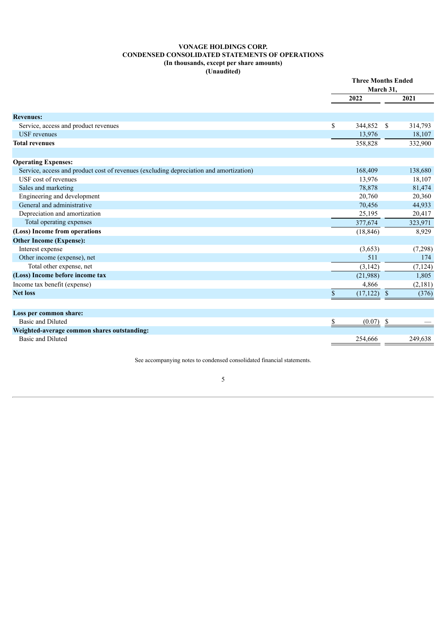## **VONAGE HOLDINGS CORP. CONDENSED CONSOLIDATED STATEMENTS OF OPERATIONS (In thousands, except per share amounts) (Unaudited)**

| 2022<br>2021<br><b>Revenues:</b><br>\$<br>Service, access and product revenues<br>344,852<br>314,793<br>-S<br><b>USF</b> revenues<br>13,976<br>18,107<br><b>Total revenues</b><br>358,828<br>332,900<br>Service, access and product cost of revenues (excluding depreciation and amortization)<br>168,409<br>138,680<br>USF cost of revenues<br>13,976<br>18,107<br>Sales and marketing<br>78,878<br>81,474<br>Engineering and development<br>20,760<br>20,360<br>General and administrative<br>70,456<br>44,933<br>Depreciation and amortization<br>25,195<br>20,417<br>Total operating expenses<br>323,971<br>377,674<br>(18, 846)<br>8,929<br>(3,653)<br>(7,298)<br>Interest expense<br>511<br>Other income (expense), net<br>174<br>Total other expense, net<br>(3,142)<br>(7, 124)<br>(21,988)<br>1,805<br>Income tax benefit (expense)<br>4,866<br>(2,181)<br>(17, 122)<br>\$<br>(376)<br><sup>\$</sup><br>Loss per common share:<br>Basic and Diluted<br>(0.07)<br>S<br><b>Basic and Diluted</b><br>254,666<br>249,638 |                                             | <b>Three Months Ended</b><br>March 31, |  |  |  |
|-------------------------------------------------------------------------------------------------------------------------------------------------------------------------------------------------------------------------------------------------------------------------------------------------------------------------------------------------------------------------------------------------------------------------------------------------------------------------------------------------------------------------------------------------------------------------------------------------------------------------------------------------------------------------------------------------------------------------------------------------------------------------------------------------------------------------------------------------------------------------------------------------------------------------------------------------------------------------------------------------------------------------------|---------------------------------------------|----------------------------------------|--|--|--|
|                                                                                                                                                                                                                                                                                                                                                                                                                                                                                                                                                                                                                                                                                                                                                                                                                                                                                                                                                                                                                               |                                             |                                        |  |  |  |
|                                                                                                                                                                                                                                                                                                                                                                                                                                                                                                                                                                                                                                                                                                                                                                                                                                                                                                                                                                                                                               |                                             |                                        |  |  |  |
|                                                                                                                                                                                                                                                                                                                                                                                                                                                                                                                                                                                                                                                                                                                                                                                                                                                                                                                                                                                                                               |                                             |                                        |  |  |  |
|                                                                                                                                                                                                                                                                                                                                                                                                                                                                                                                                                                                                                                                                                                                                                                                                                                                                                                                                                                                                                               |                                             |                                        |  |  |  |
|                                                                                                                                                                                                                                                                                                                                                                                                                                                                                                                                                                                                                                                                                                                                                                                                                                                                                                                                                                                                                               |                                             |                                        |  |  |  |
|                                                                                                                                                                                                                                                                                                                                                                                                                                                                                                                                                                                                                                                                                                                                                                                                                                                                                                                                                                                                                               |                                             |                                        |  |  |  |
|                                                                                                                                                                                                                                                                                                                                                                                                                                                                                                                                                                                                                                                                                                                                                                                                                                                                                                                                                                                                                               | <b>Operating Expenses:</b>                  |                                        |  |  |  |
|                                                                                                                                                                                                                                                                                                                                                                                                                                                                                                                                                                                                                                                                                                                                                                                                                                                                                                                                                                                                                               |                                             |                                        |  |  |  |
|                                                                                                                                                                                                                                                                                                                                                                                                                                                                                                                                                                                                                                                                                                                                                                                                                                                                                                                                                                                                                               |                                             |                                        |  |  |  |
|                                                                                                                                                                                                                                                                                                                                                                                                                                                                                                                                                                                                                                                                                                                                                                                                                                                                                                                                                                                                                               |                                             |                                        |  |  |  |
|                                                                                                                                                                                                                                                                                                                                                                                                                                                                                                                                                                                                                                                                                                                                                                                                                                                                                                                                                                                                                               |                                             |                                        |  |  |  |
|                                                                                                                                                                                                                                                                                                                                                                                                                                                                                                                                                                                                                                                                                                                                                                                                                                                                                                                                                                                                                               |                                             |                                        |  |  |  |
|                                                                                                                                                                                                                                                                                                                                                                                                                                                                                                                                                                                                                                                                                                                                                                                                                                                                                                                                                                                                                               |                                             |                                        |  |  |  |
|                                                                                                                                                                                                                                                                                                                                                                                                                                                                                                                                                                                                                                                                                                                                                                                                                                                                                                                                                                                                                               |                                             |                                        |  |  |  |
|                                                                                                                                                                                                                                                                                                                                                                                                                                                                                                                                                                                                                                                                                                                                                                                                                                                                                                                                                                                                                               | (Loss) Income from operations               |                                        |  |  |  |
|                                                                                                                                                                                                                                                                                                                                                                                                                                                                                                                                                                                                                                                                                                                                                                                                                                                                                                                                                                                                                               | <b>Other Income (Expense):</b>              |                                        |  |  |  |
|                                                                                                                                                                                                                                                                                                                                                                                                                                                                                                                                                                                                                                                                                                                                                                                                                                                                                                                                                                                                                               |                                             |                                        |  |  |  |
|                                                                                                                                                                                                                                                                                                                                                                                                                                                                                                                                                                                                                                                                                                                                                                                                                                                                                                                                                                                                                               |                                             |                                        |  |  |  |
|                                                                                                                                                                                                                                                                                                                                                                                                                                                                                                                                                                                                                                                                                                                                                                                                                                                                                                                                                                                                                               |                                             |                                        |  |  |  |
|                                                                                                                                                                                                                                                                                                                                                                                                                                                                                                                                                                                                                                                                                                                                                                                                                                                                                                                                                                                                                               | (Loss) Income before income tax             |                                        |  |  |  |
|                                                                                                                                                                                                                                                                                                                                                                                                                                                                                                                                                                                                                                                                                                                                                                                                                                                                                                                                                                                                                               |                                             |                                        |  |  |  |
|                                                                                                                                                                                                                                                                                                                                                                                                                                                                                                                                                                                                                                                                                                                                                                                                                                                                                                                                                                                                                               | <b>Net loss</b>                             |                                        |  |  |  |
|                                                                                                                                                                                                                                                                                                                                                                                                                                                                                                                                                                                                                                                                                                                                                                                                                                                                                                                                                                                                                               |                                             |                                        |  |  |  |
|                                                                                                                                                                                                                                                                                                                                                                                                                                                                                                                                                                                                                                                                                                                                                                                                                                                                                                                                                                                                                               |                                             |                                        |  |  |  |
|                                                                                                                                                                                                                                                                                                                                                                                                                                                                                                                                                                                                                                                                                                                                                                                                                                                                                                                                                                                                                               |                                             |                                        |  |  |  |
|                                                                                                                                                                                                                                                                                                                                                                                                                                                                                                                                                                                                                                                                                                                                                                                                                                                                                                                                                                                                                               | Weighted-average common shares outstanding: |                                        |  |  |  |
|                                                                                                                                                                                                                                                                                                                                                                                                                                                                                                                                                                                                                                                                                                                                                                                                                                                                                                                                                                                                                               |                                             |                                        |  |  |  |

<span id="page-4-0"></span>See accompanying notes to condensed consolidated financial statements.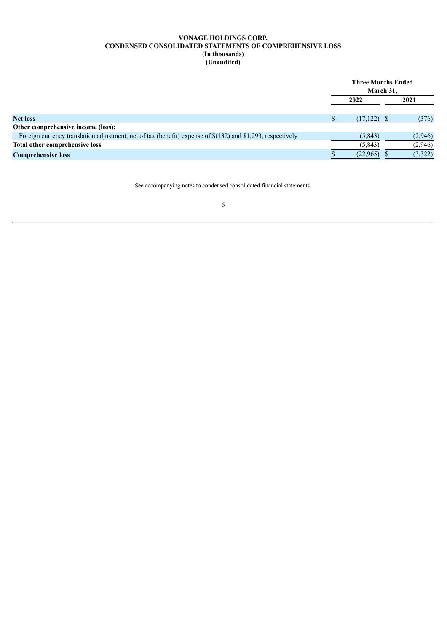# **VONAGE HOLDINGS CORP. CONDENSED CONSOLIDATED STATEMENTS OF COMPREHENSIVE LOSS (In thousands) (Unaudited)**

|                                                                                                                 |      | <b>Three Months Ended</b> | March 31, |         |  |
|-----------------------------------------------------------------------------------------------------------------|------|---------------------------|-----------|---------|--|
|                                                                                                                 | 2022 |                           |           | 2021    |  |
|                                                                                                                 |      |                           |           |         |  |
| <b>Net loss</b>                                                                                                 |      | $(17,122)$ \$             |           | (376)   |  |
| Other comprehensive income (loss):                                                                              |      |                           |           |         |  |
| Foreign currency translation adjustment, net of tax (benefit) expense of $\$(132)$ and $\$1,293$ , respectively |      | (5, 843)                  |           | (2,946) |  |
| <b>Total other comprehensive loss</b>                                                                           |      | (5, 843)                  |           | (2,946) |  |
| <b>Comprehensive loss</b>                                                                                       |      | (22,965)                  |           | (3,322) |  |

<span id="page-5-0"></span>See accompanying notes to condensed consolidated financial statements.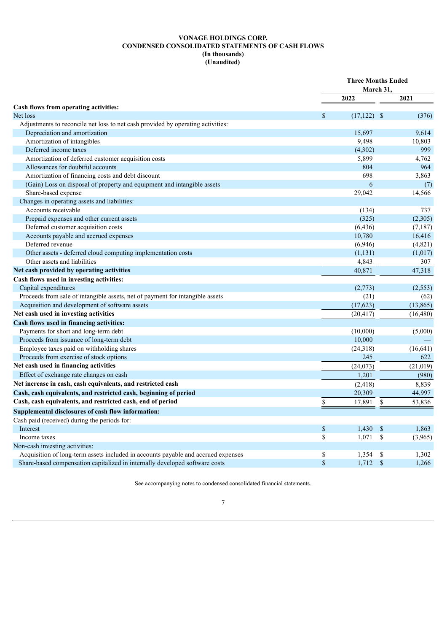# **VONAGE HOLDINGS CORP. CONDENSED CONSOLIDATED STATEMENTS OF CASH FLOWS (In thousands) (Unaudited)**

| 2022<br>2021<br>Cash flows from operating activities:<br>\$<br>$(17,122)$ \$<br>(376)<br>Net loss<br>Adjustments to reconcile net loss to net cash provided by operating activities:<br>Depreciation and amortization<br>15,697<br>9,614<br>9,498<br>Amortization of intangibles<br>10.803<br>999<br>(4,302)<br>Deferred income taxes<br>5,899<br>Amortization of deferred customer acquisition costs<br>4,762<br>Allowances for doubtful accounts<br>804<br>964<br>698<br>Amortization of financing costs and debt discount<br>3,863<br>6<br>(Gain) Loss on disposal of property and equipment and intangible assets<br>(7)<br>Share-based expense<br>29,042<br>14,566 |
|-------------------------------------------------------------------------------------------------------------------------------------------------------------------------------------------------------------------------------------------------------------------------------------------------------------------------------------------------------------------------------------------------------------------------------------------------------------------------------------------------------------------------------------------------------------------------------------------------------------------------------------------------------------------------|
|                                                                                                                                                                                                                                                                                                                                                                                                                                                                                                                                                                                                                                                                         |
|                                                                                                                                                                                                                                                                                                                                                                                                                                                                                                                                                                                                                                                                         |
|                                                                                                                                                                                                                                                                                                                                                                                                                                                                                                                                                                                                                                                                         |
|                                                                                                                                                                                                                                                                                                                                                                                                                                                                                                                                                                                                                                                                         |
|                                                                                                                                                                                                                                                                                                                                                                                                                                                                                                                                                                                                                                                                         |
|                                                                                                                                                                                                                                                                                                                                                                                                                                                                                                                                                                                                                                                                         |
|                                                                                                                                                                                                                                                                                                                                                                                                                                                                                                                                                                                                                                                                         |
|                                                                                                                                                                                                                                                                                                                                                                                                                                                                                                                                                                                                                                                                         |
|                                                                                                                                                                                                                                                                                                                                                                                                                                                                                                                                                                                                                                                                         |
|                                                                                                                                                                                                                                                                                                                                                                                                                                                                                                                                                                                                                                                                         |
|                                                                                                                                                                                                                                                                                                                                                                                                                                                                                                                                                                                                                                                                         |
|                                                                                                                                                                                                                                                                                                                                                                                                                                                                                                                                                                                                                                                                         |
| Changes in operating assets and liabilities:                                                                                                                                                                                                                                                                                                                                                                                                                                                                                                                                                                                                                            |
| Accounts receivable<br>(134)<br>737                                                                                                                                                                                                                                                                                                                                                                                                                                                                                                                                                                                                                                     |
| Prepaid expenses and other current assets<br>(325)<br>(2,305)                                                                                                                                                                                                                                                                                                                                                                                                                                                                                                                                                                                                           |
| Deferred customer acquisition costs<br>(6, 436)<br>(7,187)                                                                                                                                                                                                                                                                                                                                                                                                                                                                                                                                                                                                              |
| 10,780<br>Accounts payable and accrued expenses<br>16,416                                                                                                                                                                                                                                                                                                                                                                                                                                                                                                                                                                                                               |
| Deferred revenue<br>(6,946)<br>(4,821)                                                                                                                                                                                                                                                                                                                                                                                                                                                                                                                                                                                                                                  |
| Other assets - deferred cloud computing implementation costs<br>(1,131)<br>(1,017)                                                                                                                                                                                                                                                                                                                                                                                                                                                                                                                                                                                      |
| 4,843<br>Other assets and liabilities<br>307                                                                                                                                                                                                                                                                                                                                                                                                                                                                                                                                                                                                                            |
| Net cash provided by operating activities<br>40,871<br>47,318                                                                                                                                                                                                                                                                                                                                                                                                                                                                                                                                                                                                           |
| Cash flows used in investing activities:                                                                                                                                                                                                                                                                                                                                                                                                                                                                                                                                                                                                                                |
| Capital expenditures<br>(2,773)<br>(2, 553)                                                                                                                                                                                                                                                                                                                                                                                                                                                                                                                                                                                                                             |
| Proceeds from sale of intangible assets, net of payment for intangible assets<br>(21)<br>(62)                                                                                                                                                                                                                                                                                                                                                                                                                                                                                                                                                                           |
| Acquisition and development of software assets<br>(17,623)<br>(13, 865)                                                                                                                                                                                                                                                                                                                                                                                                                                                                                                                                                                                                 |
| Net cash used in investing activities<br>(20, 417)<br>(16, 480)                                                                                                                                                                                                                                                                                                                                                                                                                                                                                                                                                                                                         |
| Cash flows used in financing activities:                                                                                                                                                                                                                                                                                                                                                                                                                                                                                                                                                                                                                                |
| Payments for short and long-term debt<br>(10,000)<br>(5,000)                                                                                                                                                                                                                                                                                                                                                                                                                                                                                                                                                                                                            |
| 10,000<br>Proceeds from issuance of long-term debt                                                                                                                                                                                                                                                                                                                                                                                                                                                                                                                                                                                                                      |
| Employee taxes paid on withholding shares<br>(24,318)<br>(16, 641)                                                                                                                                                                                                                                                                                                                                                                                                                                                                                                                                                                                                      |
| Proceeds from exercise of stock options<br>245<br>622                                                                                                                                                                                                                                                                                                                                                                                                                                                                                                                                                                                                                   |
| Net cash used in financing activities<br>(24, 073)<br>(21, 019)                                                                                                                                                                                                                                                                                                                                                                                                                                                                                                                                                                                                         |
| Effect of exchange rate changes on cash<br>1,201<br>(980)                                                                                                                                                                                                                                                                                                                                                                                                                                                                                                                                                                                                               |
| Net increase in cash, cash equivalents, and restricted cash<br>8,839<br>(2, 418)                                                                                                                                                                                                                                                                                                                                                                                                                                                                                                                                                                                        |
| 20,309<br>44,997<br>Cash, cash equivalents, and restricted cash, beginning of period                                                                                                                                                                                                                                                                                                                                                                                                                                                                                                                                                                                    |
| \$<br>Cash, cash equivalents, and restricted cash, end of period<br>17,891<br>\$<br>53,836                                                                                                                                                                                                                                                                                                                                                                                                                                                                                                                                                                              |
| Supplemental disclosures of cash flow information:                                                                                                                                                                                                                                                                                                                                                                                                                                                                                                                                                                                                                      |
| Cash paid (received) during the periods for:                                                                                                                                                                                                                                                                                                                                                                                                                                                                                                                                                                                                                            |
| \$<br>1,430<br>Interest<br>\$<br>1,863                                                                                                                                                                                                                                                                                                                                                                                                                                                                                                                                                                                                                                  |
| \$<br>1,071<br>\$<br>Income taxes<br>(3,965)                                                                                                                                                                                                                                                                                                                                                                                                                                                                                                                                                                                                                            |
| Non-cash investing activities:                                                                                                                                                                                                                                                                                                                                                                                                                                                                                                                                                                                                                                          |
| Acquisition of long-term assets included in accounts payable and accrued expenses<br>\$<br>1,354<br><sup>\$</sup><br>1,302                                                                                                                                                                                                                                                                                                                                                                                                                                                                                                                                              |
| $\hat{S}$<br>1,712<br><sup>S</sup><br>1,266<br>Share-based compensation capitalized in internally developed software costs                                                                                                                                                                                                                                                                                                                                                                                                                                                                                                                                              |

<span id="page-6-0"></span>See accompanying notes to condensed consolidated financial statements.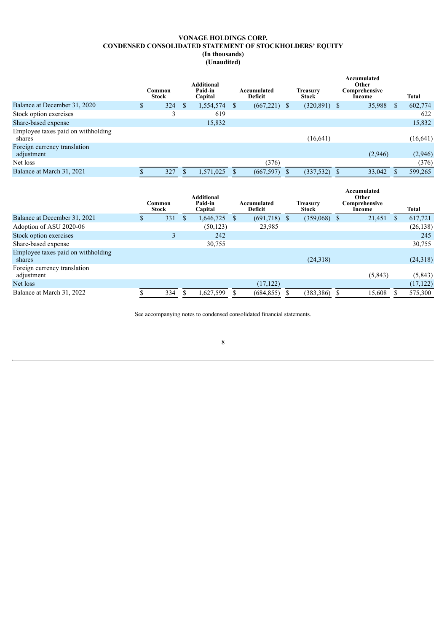# **VONAGE HOLDINGS CORP. CONDENSED CONSOLIDATED STATEMENT OF STOCKHOLDERS' EQUITY (In thousands) (Unaudited)**

|                                              | Common<br><b>Stock</b> |   | <b>Additional</b><br>Paid-in<br>Capital | Accumulated<br><b>Deficit</b> | Treasurv<br><b>Stock</b> | Accumulated<br>Other<br>Comprehensive<br>Income | <b>Total</b> |
|----------------------------------------------|------------------------|---|-----------------------------------------|-------------------------------|--------------------------|-------------------------------------------------|--------------|
| Balance at December 31, 2020                 | 324                    | S | 1,554,574                               | $(667,221)$ \$                | $(320, 891)$ \$          | 35,988                                          | 602,774      |
| Stock option exercises                       | 3                      |   | 619                                     |                               |                          |                                                 | 622          |
| Share-based expense                          |                        |   | 15,832                                  |                               |                          |                                                 | 15,832       |
| Employee taxes paid on withholding<br>shares |                        |   |                                         |                               | (16, 641)                |                                                 | (16, 641)    |
| Foreign currency translation<br>adjustment   |                        |   |                                         |                               |                          | (2,946)                                         | (2,946)      |
| Net loss                                     |                        |   |                                         | (376)                         |                          |                                                 | (376)        |
| Balance at March 31, 2021                    | 327                    |   | 1,571,025                               | (667, 597)                    | (337, 532)               | 33,042                                          | 599.265      |

|                                              | Common<br><b>Stock</b> | <b>Additional</b><br>Paid-in<br>Capital |    | Accumulated<br>Deficit | <b>Treasury</b><br><b>Stock</b> | Accumulated<br>Other<br>Comprehensive<br>Income |   | <b>Total</b> |
|----------------------------------------------|------------------------|-----------------------------------------|----|------------------------|---------------------------------|-------------------------------------------------|---|--------------|
| Balance at December 31, 2021                 | 331                    | 1,646,725                               | -S | $(691,718)$ \$         | $(359,068)$ \$                  | 21,451                                          | S | 617,721      |
| Adoption of ASU 2020-06                      |                        | (50, 123)                               |    | 23,985                 |                                 |                                                 |   | (26, 138)    |
| Stock option exercises                       | 3                      | 242                                     |    |                        |                                 |                                                 |   | 245          |
| Share-based expense                          |                        | 30,755                                  |    |                        |                                 |                                                 |   | 30,755       |
| Employee taxes paid on withholding<br>shares |                        |                                         |    |                        | (24,318)                        |                                                 |   | (24,318)     |
| Foreign currency translation<br>adjustment   |                        |                                         |    |                        |                                 | (5,843)                                         |   | (5, 843)     |
| Net loss                                     |                        |                                         |    | (17, 122)              |                                 |                                                 |   | (17, 122)    |
| Balance at March 31, 2022                    | 334                    | 1,627,599                               |    | (684, 855)             | (383, 386)                      | 15,608                                          |   | 575,300      |

<span id="page-7-0"></span>See accompanying notes to condensed consolidated financial statements.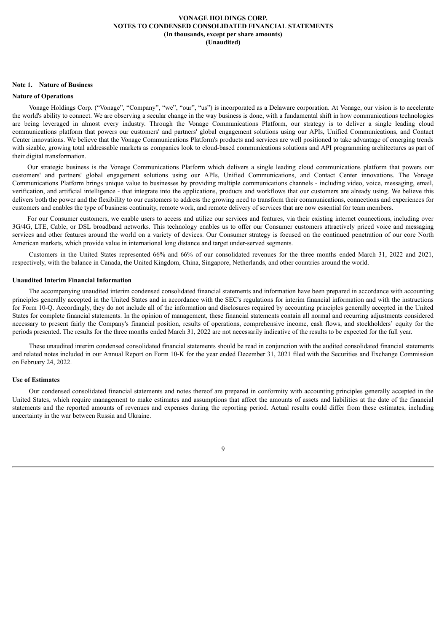## **Note 1. Nature of Business**

#### **Nature of Operations**

Vonage Holdings Corp. ("Vonage", "Company", "we", "our", "us") is incorporated as a Delaware corporation. At Vonage, our vision is to accelerate the world's ability to connect. We are observing a secular change in the way business is done, with a fundamental shift in how communications technologies are being leveraged in almost every industry. Through the Vonage Communications Platform, our strategy is to deliver a single leading cloud communications platform that powers our customers' and partners' global engagement solutions using our APIs, Unified Communications, and Contact Center innovations. We believe that the Vonage Communications Platform's products and services are well positioned to take advantage of emerging trends with sizable, growing total addressable markets as companies look to cloud-based communications solutions and API programming architectures as part of their digital transformation.

Our strategic business is the Vonage Communications Platform which delivers a single leading cloud communications platform that powers our customers' and partners' global engagement solutions using our APIs, Unified Communications, and Contact Center innovations. The Vonage Communications Platform brings unique value to businesses by providing multiple communications channels - including video, voice, messaging, email, verification, and artificial intelligence - that integrate into the applications, products and workflows that our customers are already using. We believe this delivers both the power and the flexibility to our customers to address the growing need to transform their communications, connections and experiences for customers and enables the type of business continuity, remote work, and remote delivery of services that are now essential for team members.

For our Consumer customers, we enable users to access and utilize our services and features, via their existing internet connections, including over 3G/4G, LTE, Cable, or DSL broadband networks. This technology enables us to offer our Consumer customers attractively priced voice and messaging services and other features around the world on a variety of devices. Our Consumer strategy is focused on the continued penetration of our core North American markets, which provide value in international long distance and target under-served segments.

Customers in the United States represented 66% and 66% of our consolidated revenues for the three months ended March 31, 2022 and 2021, respectively, with the balance in Canada, the United Kingdom, China, Singapore, Netherlands, and other countries around the world.

#### **Unaudited Interim Financial Information**

The accompanying unaudited interim condensed consolidated financial statements and information have been prepared in accordance with accounting principles generally accepted in the United States and in accordance with the SEC's regulations for interim financial information and with the instructions for Form 10-Q. Accordingly, they do not include all of the information and disclosures required by accounting principles generally accepted in the United States for complete financial statements. In the opinion of management, these financial statements contain all normal and recurring adjustments considered necessary to present fairly the Company's financial position, results of operations, comprehensive income, cash flows, and stockholders' equity for the periods presented. The results for the three months ended March 31, 2022 are not necessarily indicative of the results to be expected for the full year.

These unaudited interim condensed consolidated financial statements should be read in conjunction with the audited consolidated financial statements and related notes included in our Annual Report on Form 10-K for the year ended December 31, 2021 filed with the Securities and Exchange Commission on February 24, 2022.

## **Use of Estimates**

Our condensed consolidated financial statements and notes thereof are prepared in conformity with accounting principles generally accepted in the United States, which require management to make estimates and assumptions that affect the amounts of assets and liabilities at the date of the financial statements and the reported amounts of revenues and expenses during the reporting period. Actual results could differ from these estimates, including uncertainty in the war between Russia and Ukraine.

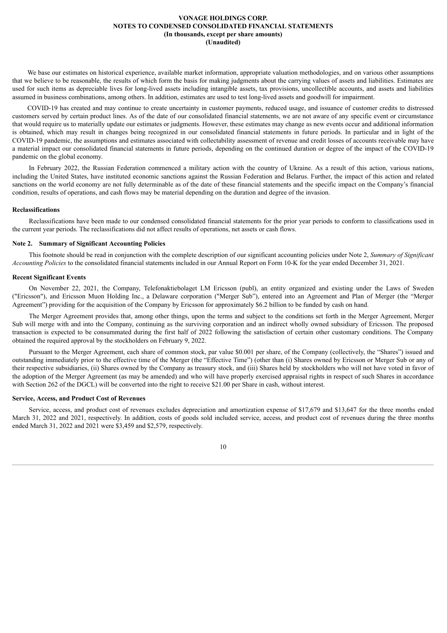We base our estimates on historical experience, available market information, appropriate valuation methodologies, and on various other assumptions that we believe to be reasonable, the results of which form the basis for making judgments about the carrying values of assets and liabilities. Estimates are used for such items as depreciable lives for long-lived assets including intangible assets, tax provisions, uncollectible accounts, and assets and liabilities assumed in business combinations, among others. In addition, estimates are used to test long-lived assets and goodwill for impairment.

COVID-19 has created and may continue to create uncertainty in customer payments, reduced usage, and issuance of customer credits to distressed customers served by certain product lines. As of the date of our consolidated financial statements, we are not aware of any specific event or circumstance that would require us to materially update our estimates or judgments. However, these estimates may change as new events occur and additional information is obtained, which may result in changes being recognized in our consolidated financial statements in future periods. In particular and in light of the COVID-19 pandemic, the assumptions and estimates associated with collectability assessment of revenue and credit losses of accounts receivable may have a material impact our consolidated financial statements in future periods, depending on the continued duration or degree of the impact of the COVID-19 pandemic on the global economy.

In February 2022, the Russian Federation commenced a military action with the country of Ukraine. As a result of this action, various nations, including the United States, have instituted economic sanctions against the Russian Federation and Belarus. Further, the impact of this action and related sanctions on the world economy are not fully determinable as of the date of these financial statements and the specific impact on the Company's financial condition, results of operations, and cash flows may be material depending on the duration and degree of the invasion.

## **Reclassifications**

Reclassifications have been made to our condensed consolidated financial statements for the prior year periods to conform to classifications used in the current year periods. The reclassifications did not affect results of operations, net assets or cash flows.

### **Note 2. Summary of Significant Accounting Policies**

This footnote should be read in conjunction with the complete description of our significant accounting policies under Note 2, *Summary of Significant Accounting Policies* to the consolidated financial statements included in our Annual Report on Form 10-K for the year ended December 31, 2021.

#### **Recent Significant Events**

On November 22, 2021, the Company, Telefonaktiebolaget LM Ericsson (publ), an entity organized and existing under the Laws of Sweden ("Ericsson"), and Ericsson Muon Holding Inc., a Delaware corporation ("Merger Sub"), entered into an Agreement and Plan of Merger (the "Merger Agreement") providing for the acquisition of the Company by Ericsson for approximately \$6.2 billion to be funded by cash on hand.

The Merger Agreement provides that, among other things, upon the terms and subject to the conditions set forth in the Merger Agreement, Merger Sub will merge with and into the Company, continuing as the surviving corporation and an indirect wholly owned subsidiary of Ericsson. The proposed transaction is expected to be consummated during the first half of 2022 following the satisfaction of certain other customary conditions. The Company obtained the required approval by the stockholders on February 9, 2022.

Pursuant to the Merger Agreement, each share of common stock, par value \$0.001 per share, of the Company (collectively, the "Shares") issued and outstanding immediately prior to the effective time of the Merger (the "Effective Time") (other than (i) Shares owned by Ericsson or Merger Sub or any of their respective subsidiaries, (ii) Shares owned by the Company as treasury stock, and (iii) Shares held by stockholders who will not have voted in favor of the adoption of the Merger Agreement (as may be amended) and who will have properly exercised appraisal rights in respect of such Shares in accordance with Section 262 of the DGCL) will be converted into the right to receive \$21.00 per Share in cash, without interest.

#### **Service, Access, and Product Cost of Revenues**

Service, access, and product cost of revenues excludes depreciation and amortization expense of \$17,679 and \$13,647 for the three months ended March 31, 2022 and 2021, respectively. In addition, costs of goods sold included service, access, and product cost of revenues during the three months ended March 31, 2022 and 2021 were \$3,459 and \$2,579, respectively.

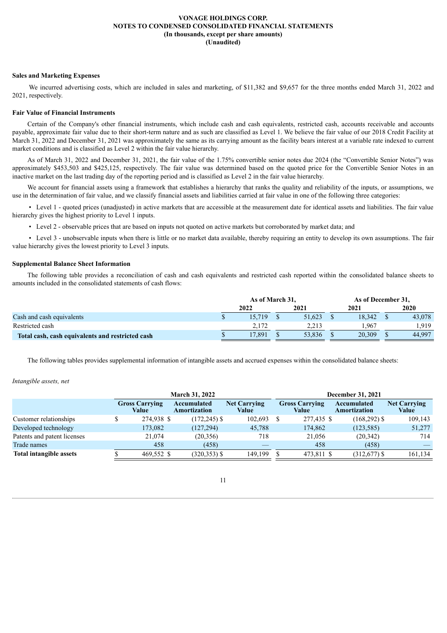#### **Sales and Marketing Expenses**

We incurred advertising costs, which are included in sales and marketing, of \$11,382 and \$9,657 for the three months ended March 31, 2022 and 2021, respectively.

#### **Fair Value of Financial Instruments**

Certain of the Company's other financial instruments, which include cash and cash equivalents, restricted cash, accounts receivable and accounts payable, approximate fair value due to their short-term nature and as such are classified as Level 1. We believe the fair value of our 2018 Credit Facility at March 31, 2022 and December 31, 2021 was approximately the same as its carrying amount as the facility bears interest at a variable rate indexed to current market conditions and is classified as Level 2 within the fair value hierarchy.

As of March 31, 2022 and December 31, 2021, the fair value of the 1.75% convertible senior notes due 2024 (the "Convertible Senior Notes") was approximately \$453,503 and \$425,125, respectively. The fair value was determined based on the quoted price for the Convertible Senior Notes in an inactive market on the last trading day of the reporting period and is classified as Level 2 in the fair value hierarchy.

We account for financial assets using a framework that establishes a hierarchy that ranks the quality and reliability of the inputs, or assumptions, we use in the determination of fair value, and we classify financial assets and liabilities carried at fair value in one of the following three categories:

• Level 1 - quoted prices (unadjusted) in active markets that are accessible at the measurement date for identical assets and liabilities. The fair value hierarchy gives the highest priority to Level 1 inputs.

• Level 2 - observable prices that are based on inputs not quoted on active markets but corroborated by market data; and

• Level 3 - unobservable inputs when there is little or no market data available, thereby requiring an entity to develop its own assumptions. The fair value hierarchy gives the lowest priority to Level 3 inputs.

#### **Supplemental Balance Sheet Information**

The following table provides a reconciliation of cash and cash equivalents and restricted cash reported within the consolidated balance sheets to amounts included in the consolidated statements of cash flows:

|                                                  | As of March 31, |  |        |  |        | As of December 31, |        |  |
|--------------------------------------------------|-----------------|--|--------|--|--------|--------------------|--------|--|
|                                                  | 2022            |  | 2021   |  | 2021   |                    | 2020   |  |
| Cash and cash equivalents                        | 15.719          |  | 51.623 |  | 18.342 |                    | 43,078 |  |
| Restricted cash                                  | 2.172           |  | 2.213  |  | .967   |                    | 1.919  |  |
| Total cash, cash equivalents and restricted cash | 7.891           |  | 53.836 |  | 20,309 |                    | 44.997 |  |

The following tables provides supplemental information of intangible assets and accrued expenses within the consolidated balance sheets:

## *Intangible assets, net*

|                                |                                | <b>March 31, 2022</b>       |                              | December 31, 2021              |                                    |                              |  |
|--------------------------------|--------------------------------|-----------------------------|------------------------------|--------------------------------|------------------------------------|------------------------------|--|
|                                | <b>Gross Carrying</b><br>Value | Accumulated<br>Amortization | <b>Net Carrying</b><br>Value | <b>Gross Carrying</b><br>Value | Accumulated<br><b>Amortization</b> | <b>Net Carrying</b><br>Value |  |
| Customer relationships         | 274,938 \$                     | $(172, 245)$ \$             | 102,693                      | 277,435 \$                     | $(168, 292)$ \$                    | 109,143                      |  |
| Developed technology           | 173,082                        | (127, 294)                  | 45,788                       | 174,862                        | (123, 585)                         | 51,277                       |  |
| Patents and patent licenses    | 21,074                         | (20, 356)                   | 718                          | 21,056                         | (20, 342)                          | 714                          |  |
| Trade names                    | 458                            | (458)                       |                              | 458                            | (458)                              |                              |  |
| <b>Total intangible assets</b> | 469,552 \$                     | $(320.353)$ \$              | 149,199                      | 473,811 \$                     | $(312,677)$ \$                     | 161,134                      |  |

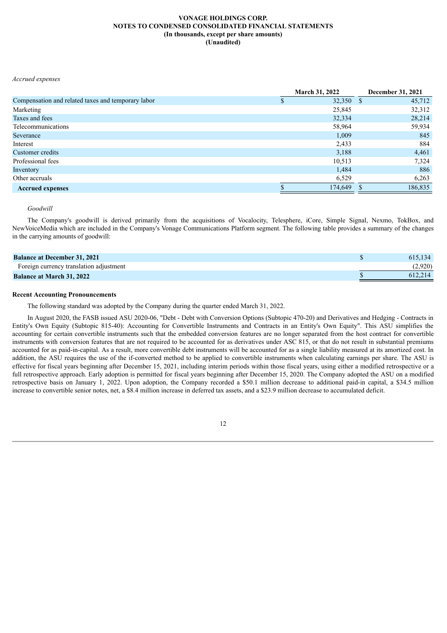#### *Accrued expenses*

|                                                    | <b>March 31, 2022</b> |    | December 31, 2021 |  |  |
|----------------------------------------------------|-----------------------|----|-------------------|--|--|
| Compensation and related taxes and temporary labor | 32,350                | -S | 45,712            |  |  |
| Marketing                                          | 25,845                |    | 32,312            |  |  |
| Taxes and fees                                     | 32,334                |    | 28,214            |  |  |
| Telecommunications                                 | 58,964                |    | 59,934            |  |  |
| Severance                                          | 1,009                 |    | 845               |  |  |
| Interest                                           | 2,433                 |    | 884               |  |  |
| Customer credits                                   | 3,188                 |    | 4,461             |  |  |
| Professional fees                                  | 10,513                |    | 7,324             |  |  |
| Inventory                                          | 1,484                 |    | 886               |  |  |
| Other accruals                                     | 6,529                 |    | 6,263             |  |  |
| <b>Accrued expenses</b>                            | 174,649               |    | 186,835           |  |  |

*Goodwill*

The Company's goodwill is derived primarily from the acquisitions of Vocalocity, Telesphere, iCore, Simple Signal, Nexmo, TokBox, and NewVoiceMedia which are included in the Company's Vonage Communications Platform segment. The following table provides a summary of the changes in the carrying amounts of goodwill:

| <b>Balance at December 31, 2021</b>     | 615.134 |
|-----------------------------------------|---------|
| Foreign currency translation adjustment | (2,920) |
| <b>Balance at March 31, 2022</b>        | 612.214 |

#### **Recent Accounting Pronouncements**

The following standard was adopted by the Company during the quarter ended March 31, 2022.

In August 2020, the FASB issued ASU 2020-06, "Debt - Debt with Conversion Options (Subtopic 470-20) and Derivatives and Hedging - Contracts in Entity's Own Equity (Subtopic 815-40): Accounting for Convertible Instruments and Contracts in an Entity's Own Equity". This ASU simplifies the accounting for certain convertible instruments such that the embedded conversion features are no longer separated from the host contract for convertible instruments with conversion features that are not required to be accounted for as derivatives under ASC 815, or that do not result in substantial premiums accounted for as paid-in-capital. As a result, more convertible debt instruments will be accounted for as a single liability measured at its amortized cost. In addition, the ASU requires the use of the if-converted method to be applied to convertible instruments when calculating earnings per share. The ASU is effective for fiscal years beginning after December 15, 2021, including interim periods within those fiscal years, using either a modified retrospective or a full retrospective approach. Early adoption is permitted for fiscal years beginning after December 15, 2020. The Company adopted the ASU on a modified retrospective basis on January 1, 2022. Upon adoption, the Company recorded a \$50.1 million decrease to additional paid-in capital, a \$34.5 million increase to convertible senior notes, net, a \$8.4 million increase in deferred tax assets, and a \$23.9 million decrease to accumulated deficit.

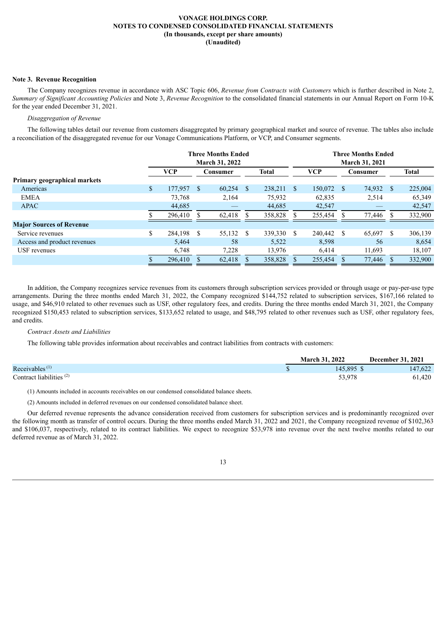#### **Note 3. Revenue Recognition**

The Company recognizes revenue in accordance with ASC Topic 606, *Revenue from Contracts with Customers* which is further described in Note 2, *Summary of Significant Accounting Policies* and Note 3, *Revenue Recognition* to the consolidated financial statements in our Annual Report on Form 10-K for the year ended December 31, 2021.

# *Disaggregation of Revenue*

The following tables detail our revenue from customers disaggregated by primary geographical market and source of revenue. The tables also include a reconciliation of the disaggregated revenue for our Vonage Communications Platform, or VCP, and Consumer segments.

|                                     | <b>Three Months Ended</b><br><b>March 31, 2022</b> |            |               | <b>Three Months Ended</b><br><b>March 31, 2021</b> |      |              |               |            |  |          |               |         |
|-------------------------------------|----------------------------------------------------|------------|---------------|----------------------------------------------------|------|--------------|---------------|------------|--|----------|---------------|---------|
|                                     |                                                    | <b>VCP</b> |               | Consumer                                           |      | <b>Total</b> |               | <b>VCP</b> |  | Consumer |               | Total   |
| <b>Primary geographical markets</b> |                                                    |            |               |                                                    |      |              |               |            |  |          |               |         |
| Americas                            | \$                                                 | 177,957    | <sup>\$</sup> | 60.254                                             | - \$ | 238.211      | <sup>\$</sup> | 150,072 \$ |  | 74,932   | <sup>\$</sup> | 225,004 |
| <b>EMEA</b>                         |                                                    | 73,768     |               | 2,164                                              |      | 75,932       |               | 62,835     |  | 2,514    |               | 65,349  |
| <b>APAC</b>                         |                                                    | 44,685     |               |                                                    |      | 44,685       |               | 42,547     |  |          |               | 42,547  |
|                                     |                                                    | 296,410    |               | 62.418                                             |      | 358,828      |               | 255,454    |  | 77,446   |               | 332,900 |
| <b>Major Sources of Revenue</b>     |                                                    |            |               |                                                    |      |              |               |            |  |          |               |         |
| Service revenues                    | \$.                                                | 284,198    | S             | 55,132                                             | - \$ | 339,330      | \$            | 240.442 \$ |  | 65,697   |               | 306,139 |
| Access and product revenues         |                                                    | 5,464      |               | 58                                                 |      | 5,522        |               | 8,598      |  | 56       |               | 8,654   |
| <b>USF</b> revenues                 |                                                    | 6,748      |               | 7,228                                              |      | 13,976       |               | 6,414      |  | 11,693   |               | 18,107  |
|                                     |                                                    | 296,410    |               | 62,418                                             |      | 358,828      |               | 255,454    |  | 77,446   |               | 332,900 |

In addition, the Company recognizes service revenues from its customers through subscription services provided or through usage or pay-per-use type arrangements. During the three months ended March 31, 2022, the Company recognized \$144,752 related to subscription services, \$167,166 related to usage, and \$46,910 related to other revenues such as USF, other regulatory fees, and credits. During the three months ended March 31, 2021, the Company recognized \$150,453 related to subscription services, \$133,652 related to usage, and \$48,795 related to other revenues such as USF, other regulatory fees, and credits.

## *Contract Assets and Liabilities*

The following table provides information about receivables and contract liabilities from contracts with customers:

|                                     | <b>March 31, 2022</b> | <b>December 31, 2021</b> |
|-------------------------------------|-----------------------|--------------------------|
| Receivables $(1)$                   | 145,895 \$            | 147,622                  |
| Contract liabilities <sup>(2)</sup> | 53,978                | 61,420                   |

(1) Amounts included in accounts receivables on our condensed consolidated balance sheets.

(2) Amounts included in deferred revenues on our condensed consolidated balance sheet.

Our deferred revenue represents the advance consideration received from customers for subscription services and is predominantly recognized over the following month as transfer of control occurs. During the three months ended March 31, 2022 and 2021, the Company recognized revenue of \$102,363 and \$106,037, respectively, related to its contract liabilities. We expect to recognize \$53,978 into revenue over the next twelve months related to our deferred revenue as of March 31, 2022.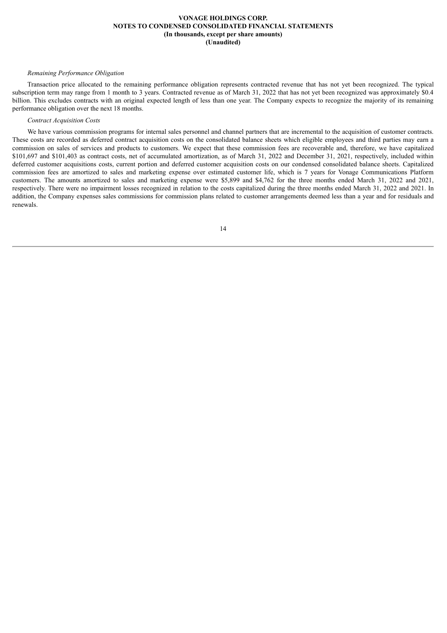#### *Remaining Performance Obligation*

Transaction price allocated to the remaining performance obligation represents contracted revenue that has not yet been recognized. The typical subscription term may range from 1 month to 3 years. Contracted revenue as of March 31, 2022 that has not yet been recognized was approximately \$0.4 billion. This excludes contracts with an original expected length of less than one year. The Company expects to recognize the majority of its remaining performance obligation over the next 18 months.

## *Contract Acquisition Costs*

We have various commission programs for internal sales personnel and channel partners that are incremental to the acquisition of customer contracts. These costs are recorded as deferred contract acquisition costs on the consolidated balance sheets which eligible employees and third parties may earn a commission on sales of services and products to customers. We expect that these commission fees are recoverable and, therefore, we have capitalized \$101,697 and \$101,403 as contract costs, net of accumulated amortization, as of March 31, 2022 and December 31, 2021, respectively, included within deferred customer acquisitions costs, current portion and deferred customer acquisition costs on our condensed consolidated balance sheets. Capitalized commission fees are amortized to sales and marketing expense over estimated customer life, which is 7 years for Vonage Communications Platform customers. The amounts amortized to sales and marketing expense were \$5,899 and \$4,762 for the three months ended March 31, 2022 and 2021, respectively. There were no impairment losses recognized in relation to the costs capitalized during the three months ended March 31, 2022 and 2021. In addition, the Company expenses sales commissions for commission plans related to customer arrangements deemed less than a year and for residuals and renewals.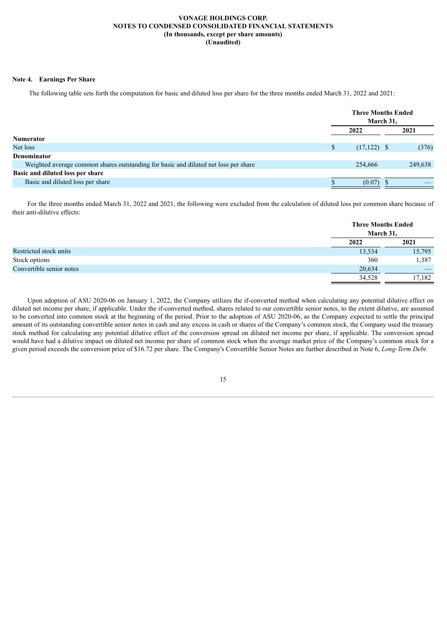## **Note 4. Earnings Per Share**

The following table sets forth the computation for basic and diluted loss per share for the three months ended March 31, 2022 and 2021:

|                                                                                     | <b>Three Months Ended</b><br>March 31, |         |
|-------------------------------------------------------------------------------------|----------------------------------------|---------|
|                                                                                     | 2022                                   | 2021    |
| <b>Numerator</b>                                                                    |                                        |         |
| Net loss                                                                            | $(17,122)$ \$                          | (376)   |
| <b>Denominator</b>                                                                  |                                        |         |
| Weighted average common shares outstanding for basic and diluted net loss per share | 254,666                                | 249,638 |
| Basic and diluted loss per share                                                    |                                        |         |
| Basic and diluted loss per share                                                    | (0.07)                                 |         |

For the three months ended March 31, 2022 and 2021, the following were excluded from the calculation of diluted loss per common share because of their anti-dilutive effects:

|                          | <b>Three Months Ended</b><br>March 31, |        |
|--------------------------|----------------------------------------|--------|
|                          | 2022                                   | 2021   |
| Restricted stock units   | 13,534                                 | 15,795 |
| Stock options            | 360                                    | 1,387  |
| Convertible senior notes | 20,634                                 |        |
|                          | 34,528                                 | 17.182 |
|                          |                                        |        |

Upon adoption of ASU 2020-06 on January 1, 2022, the Company utilizes the if-converted method when calculating any potential dilutive effect on diluted net income per share, if applicable. Under the if-converted method, shares related to our convertible senior notes, to the extent dilutive, are assumed to be converted into common stock at the beginning of the period. Prior to the adoption of ASU 2020-06, as the Company expected to settle the principal amount of its outstanding convertible senior notes in cash and any excess in cash or shares of the Company's common stock, the Company used the treasury stock method for calculating any potential dilutive effect of the conversion spread on diluted net income per share, if applicable. The conversion spread would have had a dilutive impact on diluted net income per share of common stock when the average market price of the Company's common stock for a given period exceeds the conversion price of \$16.72 per share. The Company's Convertible Senior Notes are further described in Note 6, *Long-Term Debt*.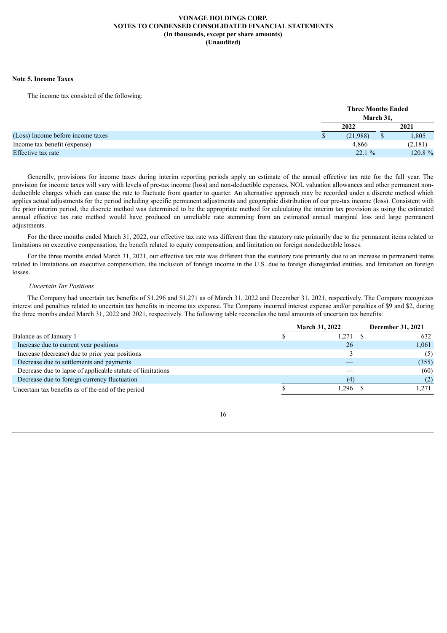## **Note 5. Income Taxes**

The income tax consisted of the following:

|                                   | <b>Three Months Ended</b> |           |         |  |
|-----------------------------------|---------------------------|-----------|---------|--|
|                                   |                           | March 31. |         |  |
|                                   | 2022                      |           | 2021    |  |
| (Loss) Income before income taxes | (21,988)                  |           | 1,805   |  |
| Income tax benefit (expense)      | 4.866                     |           | (2,181) |  |
| Effective tax rate                | 22.1%                     |           | 120.8 % |  |

Generally, provisions for income taxes during interim reporting periods apply an estimate of the annual effective tax rate for the full year. The provision for income taxes will vary with levels of pre-tax income (loss) and non-deductible expenses, NOL valuation allowances and other permanent nondeductible charges which can cause the rate to fluctuate from quarter to quarter. An alternative approach may be recorded under a discrete method which applies actual adjustments for the period including specific permanent adjustments and geographic distribution of our pre-tax income (loss). Consistent with the prior interim period, the discrete method was determined to be the appropriate method for calculating the interim tax provision as using the estimated annual effective tax rate method would have produced an unreliable rate stemming from an estimated annual marginal loss and large permanent adjustments.

For the three months ended March 31, 2022, our effective tax rate was different than the statutory rate primarily due to the permanent items related to limitations on executive compensation, the benefit related to equity compensation, and limitation on foreign nondeductible losses.

For the three months ended March 31, 2021, our effective tax rate was different than the statutory rate primarily due to an increase in permanent items related to limitations on executive compensation, the inclusion of foreign income in the U.S. due to foreign disregarded entities, and limitation on foreign losses.

#### *Uncertain Tax Positions*

The Company had uncertain tax benefits of \$1,296 and \$1,271 as of March 31, 2022 and December 31, 2021, respectively. The Company recognizes interest and penalties related to uncertain tax benefits in income tax expense. The Company incurred interest expense and/or penalties of \$9 and \$2, during the three months ended March 31, 2022 and 2021, respectively. The following table reconciles the total amounts of uncertain tax benefits:

|                                                            | <b>March 31, 2022</b> | December 31, 2021 |
|------------------------------------------------------------|-----------------------|-------------------|
| Balance as of January 1                                    | 1.271                 | 632               |
| Increase due to current year positions                     | 26                    | 1,061             |
| Increase (decrease) due to prior year positions            |                       | (5)               |
| Decrease due to settlements and payments                   |                       | (355)             |
| Decrease due to lapse of applicable statute of limitations |                       | (60)              |
| Decrease due to foreign currency fluctuation               | (4)                   | (2)               |
| Uncertain tax benefits as of the end of the period         | .296                  | .271              |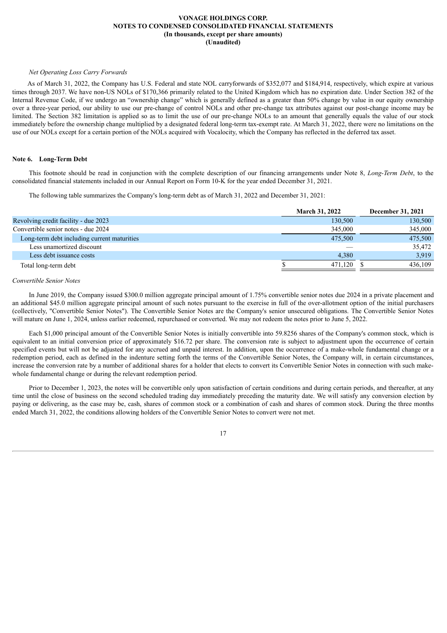## *Net Operating Loss Carry Forwards*

As of March 31, 2022, the Company has U.S. Federal and state NOL carryforwards of \$352,077 and \$184,914, respectively, which expire at various times through 2037. We have non-US NOLs of \$170,366 primarily related to the United Kingdom which has no expiration date. Under Section 382 of the Internal Revenue Code, if we undergo an "ownership change" which is generally defined as a greater than 50% change by value in our equity ownership over a three-year period, our ability to use our pre-change of control NOLs and other pre-change tax attributes against our post-change income may be limited. The Section 382 limitation is applied so as to limit the use of our pre-change NOLs to an amount that generally equals the value of our stock immediately before the ownership change multiplied by a designated federal long-term tax-exempt rate. At March 31, 2022, there were no limitations on the use of our NOLs except for a certain portion of the NOLs acquired with Vocalocity, which the Company has reflected in the deferred tax asset.

#### **Note 6. Long-Term Debt**

This footnote should be read in conjunction with the complete description of our financing arrangements under Note 8, *Long-Term Debt*, to the consolidated financial statements included in our Annual Report on Form 10-K for the year ended December 31, 2021.

The following table summarizes the Company's long-term debt as of March 31, 2022 and December 31, 2021:

|                                             | <b>March 31, 2022</b> | <b>December 31, 2021</b> |
|---------------------------------------------|-----------------------|--------------------------|
| Revolving credit facility - due 2023        | 130,500               | 130,500                  |
| Convertible senior notes - due 2024         | 345,000               | 345,000                  |
| Long-term debt including current maturities | 475.500               | 475,500                  |
| Less unamortized discount                   |                       | 35,472                   |
| Less debt issuance costs                    | 4.380                 | 3,919                    |
| Total long-term debt                        | 471.120               | 436.109                  |

#### *Convertible Senior Notes*

In June 2019, the Company issued \$300.0 million aggregate principal amount of 1.75% convertible senior notes due 2024 in a private placement and an additional \$45.0 million aggregate principal amount of such notes pursuant to the exercise in full of the over-allotment option of the initial purchasers (collectively, "Convertible Senior Notes"). The Convertible Senior Notes are the Company's senior unsecured obligations. The Convertible Senior Notes will mature on June 1, 2024, unless earlier redeemed, repurchased or converted. We may not redeem the notes prior to June 5, 2022.

Each \$1,000 principal amount of the Convertible Senior Notes is initially convertible into 59.8256 shares of the Company's common stock, which is equivalent to an initial conversion price of approximately \$16.72 per share. The conversion rate is subject to adjustment upon the occurrence of certain specified events but will not be adjusted for any accrued and unpaid interest. In addition, upon the occurrence of a make-whole fundamental change or a redemption period, each as defined in the indenture setting forth the terms of the Convertible Senior Notes, the Company will, in certain circumstances, increase the conversion rate by a number of additional shares for a holder that elects to convert its Convertible Senior Notes in connection with such makewhole fundamental change or during the relevant redemption period.

Prior to December 1, 2023, the notes will be convertible only upon satisfaction of certain conditions and during certain periods, and thereafter, at any time until the close of business on the second scheduled trading day immediately preceding the maturity date. We will satisfy any conversion election by paying or delivering, as the case may be, cash, shares of common stock or a combination of cash and shares of common stock. During the three months ended March 31, 2022, the conditions allowing holders of the Convertible Senior Notes to convert were not met.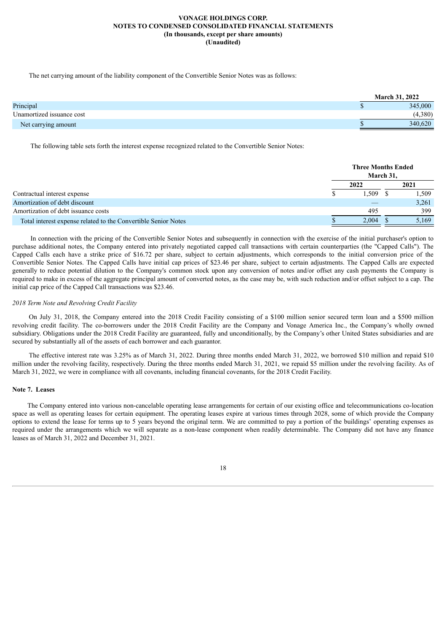The net carrying amount of the liability component of the Convertible Senior Notes was as follows:

|                           | <b>March 31, 2022</b> |
|---------------------------|-----------------------|
| Principal                 | 345,000               |
| Unamortized issuance cost | (4,380)               |
| Net carrying amount       | 340,620               |

The following table sets forth the interest expense recognized related to the Convertible Senior Notes:

|                                                                | <b>Three Months Ended</b><br>March 31, |       |
|----------------------------------------------------------------|----------------------------------------|-------|
|                                                                | 2022                                   | 2021  |
| Contractual interest expense                                   | .509                                   | 1,509 |
| Amortization of debt discount                                  |                                        | 3,261 |
| Amortization of debt issuance costs                            | 495                                    | 399   |
| Total interest expense related to the Convertible Senior Notes | 2.004                                  | 5,169 |

In connection with the pricing of the Convertible Senior Notes and subsequently in connection with the exercise of the initial purchaser's option to purchase additional notes, the Company entered into privately negotiated capped call transactions with certain counterparties (the "Capped Calls"). The Capped Calls each have a strike price of \$16.72 per share, subject to certain adjustments, which corresponds to the initial conversion price of the Convertible Senior Notes. The Capped Calls have initial cap prices of \$23.46 per share, subject to certain adjustments. The Capped Calls are expected generally to reduce potential dilution to the Company's common stock upon any conversion of notes and/or offset any cash payments the Company is required to make in excess of the aggregate principal amount of converted notes, as the case may be, with such reduction and/or offset subject to a cap. The initial cap price of the Capped Call transactions was \$23.46.

#### *2018 Term Note and Revolving Credit Facility*

On July 31, 2018, the Company entered into the 2018 Credit Facility consisting of a \$100 million senior secured term loan and a \$500 million revolving credit facility. The co-borrowers under the 2018 Credit Facility are the Company and Vonage America Inc., the Company's wholly owned subsidiary. Obligations under the 2018 Credit Facility are guaranteed, fully and unconditionally, by the Company's other United States subsidiaries and are secured by substantially all of the assets of each borrower and each guarantor.

The effective interest rate was 3.25% as of March 31, 2022. During three months ended March 31, 2022, we borrowed \$10 million and repaid \$10 million under the revolving facility, respectively. During the three months ended March 31, 2021, we repaid \$5 million under the revolving facility. As of March 31, 2022, we were in compliance with all covenants, including financial covenants, for the 2018 Credit Facility.

## **Note 7. Leases**

The Company entered into various non-cancelable operating lease arrangements for certain of our existing office and telecommunications co-location space as well as operating leases for certain equipment. The operating leases expire at various times through 2028, some of which provide the Company options to extend the lease for terms up to 5 years beyond the original term. We are committed to pay a portion of the buildings' operating expenses as required under the arrangements which we will separate as a non-lease component when readily determinable. The Company did not have any finance leases as of March 31, 2022 and December 31, 2021.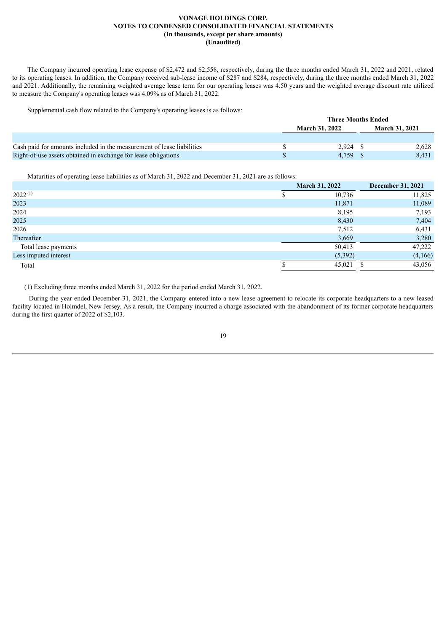The Company incurred operating lease expense of \$2,472 and \$2,558, respectively, during the three months ended March 31, 2022 and 2021, related to its operating leases. In addition, the Company received sub-lease income of \$287 and \$284, respectively, during the three months ended March 31, 2022 and 2021. Additionally, the remaining weighted average lease term for our operating leases was 4.50 years and the weighted average discount rate utilized to measure the Company's operating leases was 4.09% as of March 31, 2022.

Supplemental cash flow related to the Company's operating leases is as follows:

|                                                                        |                       | <b>Three Months Ended</b> |  |                       |  |  |  |
|------------------------------------------------------------------------|-----------------------|---------------------------|--|-----------------------|--|--|--|
|                                                                        | <b>March 31, 2022</b> |                           |  | <b>March 31, 2021</b> |  |  |  |
|                                                                        |                       |                           |  |                       |  |  |  |
| Cash paid for amounts included in the measurement of lease liabilities |                       | 2.924                     |  | 2.628                 |  |  |  |
| Right-of-use assets obtained in exchange for lease obligations         |                       | 4.759                     |  | 8.431                 |  |  |  |

Maturities of operating lease liabilities as of March 31, 2022 and December 31, 2021 are as follows:

|                       | <b>March 31, 2022</b> | <b>December 31, 2021</b> |
|-----------------------|-----------------------|--------------------------|
| $2022^{(1)}$          | 10,736                | 11,825                   |
| 2023                  | 11,871                | 11,089                   |
| 2024                  | 8,195                 | 7,193                    |
| 2025                  | 8,430                 | 7,404                    |
| 2026                  | 7,512                 | 6,431                    |
| Thereafter            | 3,669                 | 3,280                    |
| Total lease payments  | 50,413                | 47,222                   |
| Less imputed interest | (5,392)               | (4,166)                  |
| Total                 | 45,021                | 43,056                   |

(1) Excluding three months ended March 31, 2022 for the period ended March 31, 2022.

During the year ended December 31, 2021, the Company entered into a new lease agreement to relocate its corporate headquarters to a new leased facility located in Holmdel, New Jersey. As a result, the Company incurred a charge associated with the abandonment of its former corporate headquarters during the first quarter of 2022 of \$2,103.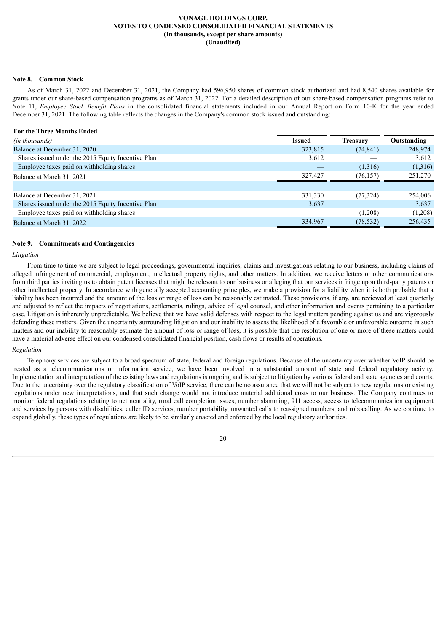#### **Note 8. Common Stock**

As of March 31, 2022 and December 31, 2021, the Company had 596,950 shares of common stock authorized and had 8,540 shares available for grants under our share-based compensation programs as of March 31, 2022. For a detailed description of our share-based compensation programs refer to Note 11, *Employee Stock Benefit Plans* in the consolidated financial statements included in our Annual Report on Form 10-K for the year ended December 31, 2021. The following table reflects the changes in the Company's common stock issued and outstanding:

#### **For the Three Months Ended**

| <i>(in thousands)</i>                              | <b>Issued</b> | Treasurv  | Outstanding |
|----------------------------------------------------|---------------|-----------|-------------|
| Balance at December 31, 2020                       | 323,815       | (74, 841) | 248,974     |
| Shares issued under the 2015 Equity Incentive Plan | 3,612         |           | 3,612       |
| Employee taxes paid on withholding shares          |               | (1,316)   | (1,316)     |
| Balance at March 31, 2021                          | 327.427       | (76, 157) | 251,270     |
|                                                    |               |           |             |
| Balance at December 31, 2021                       | 331,330       | (77, 324) | 254,006     |
| Shares issued under the 2015 Equity Incentive Plan | 3.637         |           | 3,637       |
| Employee taxes paid on withholding shares          |               | (1,208)   | (1,208)     |
| Balance at March 31, 2022                          | 334,967       | (78, 532) | 256,435     |

#### **Note 9. Commitments and Contingencies**

#### *Litigation*

From time to time we are subject to legal proceedings, governmental inquiries, claims and investigations relating to our business, including claims of alleged infringement of commercial, employment, intellectual property rights, and other matters. In addition, we receive letters or other communications from third parties inviting us to obtain patent licenses that might be relevant to our business or alleging that our services infringe upon third-party patents or other intellectual property. In accordance with generally accepted accounting principles, we make a provision for a liability when it is both probable that a liability has been incurred and the amount of the loss or range of loss can be reasonably estimated. These provisions, if any, are reviewed at least quarterly and adjusted to reflect the impacts of negotiations, settlements, rulings, advice of legal counsel, and other information and events pertaining to a particular case. Litigation is inherently unpredictable. We believe that we have valid defenses with respect to the legal matters pending against us and are vigorously defending these matters. Given the uncertainty surrounding litigation and our inability to assess the likelihood of a favorable or unfavorable outcome in such matters and our inability to reasonably estimate the amount of loss or range of loss, it is possible that the resolution of one or more of these matters could have a material adverse effect on our condensed consolidated financial position, cash flows or results of operations.

#### *Regulation*

Telephony services are subject to a broad spectrum of state, federal and foreign regulations. Because of the uncertainty over whether VoIP should be treated as a telecommunications or information service, we have been involved in a substantial amount of state and federal regulatory activity. Implementation and interpretation of the existing laws and regulations is ongoing and is subject to litigation by various federal and state agencies and courts. Due to the uncertainty over the regulatory classification of VoIP service, there can be no assurance that we will not be subject to new regulations or existing regulations under new interpretations, and that such change would not introduce material additional costs to our business. The Company continues to monitor federal regulations relating to net neutrality, rural call completion issues, number slamming, 911 access, access to telecommunication equipment and services by persons with disabilities, caller ID services, number portability, unwanted calls to reassigned numbers, and robocalling. As we continue to expand globally, these types of regulations are likely to be similarly enacted and enforced by the local regulatory authorities.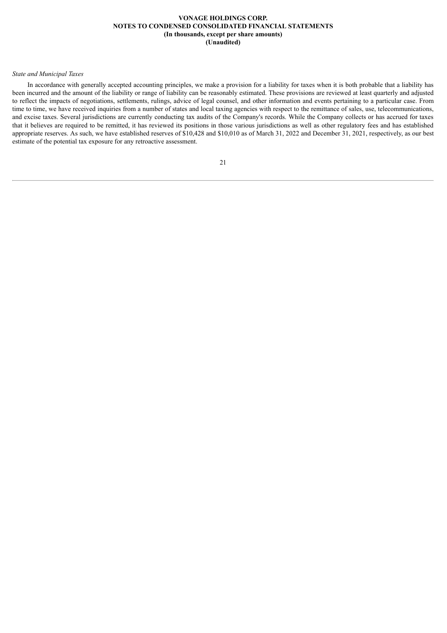## *State and Municipal Taxes*

In accordance with generally accepted accounting principles, we make a provision for a liability for taxes when it is both probable that a liability has been incurred and the amount of the liability or range of liability can be reasonably estimated. These provisions are reviewed at least quarterly and adjusted to reflect the impacts of negotiations, settlements, rulings, advice of legal counsel, and other information and events pertaining to a particular case. From time to time, we have received inquiries from a number of states and local taxing agencies with respect to the remittance of sales, use, telecommunications, and excise taxes. Several jurisdictions are currently conducting tax audits of the Company's records. While the Company collects or has accrued for taxes that it believes are required to be remitted, it has reviewed its positions in those various jurisdictions as well as other regulatory fees and has established appropriate reserves. As such, we have established reserves of \$10,428 and \$10,010 as of March 31, 2022 and December 31, 2021, respectively, as our best estimate of the potential tax exposure for any retroactive assessment.

| v<br>× |  |
|--------|--|
|        |  |
|        |  |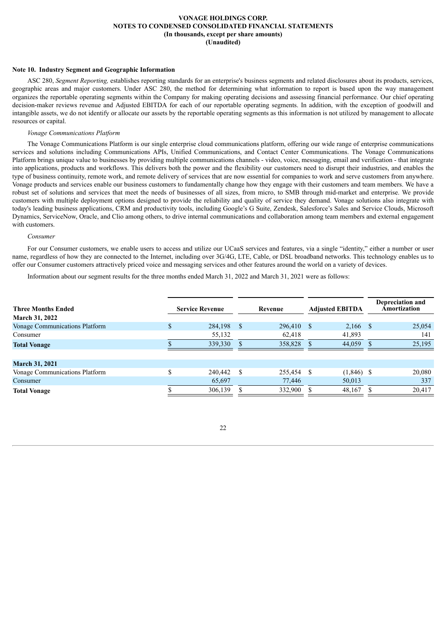## **Note 10. Industry Segment and Geographic Information**

ASC 280, *Segment Reporting,* establishes reporting standards for an enterprise's business segments and related disclosures about its products, services, geographic areas and major customers. Under ASC 280, the method for determining what information to report is based upon the way management organizes the reportable operating segments within the Company for making operating decisions and assessing financial performance. Our chief operating decision-maker reviews revenue and Adjusted EBITDA for each of our reportable operating segments. In addition, with the exception of goodwill and intangible assets, we do not identify or allocate our assets by the reportable operating segments as this information is not utilized by management to allocate resources or capital.

#### *Vonage Communications Platform*

The Vonage Communications Platform is our single enterprise cloud communications platform, offering our wide range of enterprise communications services and solutions including Communications APIs, Unified Communications, and Contact Center Communications. The Vonage Communications Platform brings unique value to businesses by providing multiple communications channels - video, voice, messaging, email and verification - that integrate into applications, products and workflows. This delivers both the power and the flexibility our customers need to disrupt their industries, and enables the type of business continuity, remote work, and remote delivery of services that are now essential for companies to work and serve customers from anywhere. Vonage products and services enable our business customers to fundamentally change how they engage with their customers and team members. We have a robust set of solutions and services that meet the needs of businesses of all sizes, from micro, to SMB through mid-market and enterprise. We provide customers with multiple deployment options designed to provide the reliability and quality of service they demand. Vonage solutions also integrate with today's leading business applications, CRM and productivity tools, including Google's G Suite, Zendesk, Salesforce's Sales and Service Clouds, Microsoft Dynamics, ServiceNow, Oracle, and Clio among others, to drive internal communications and collaboration among team members and external engagement with customers.

#### *Consumer*

For our Consumer customers, we enable users to access and utilize our UCaaS services and features, via a single "identity," either a number or user name, regardless of how they are connected to the Internet, including over 3G/4G, LTE, Cable, or DSL broadband networks. This technology enables us to offer our Consumer customers attractively priced voice and messaging services and other features around the world on a variety of devices.

Information about our segment results for the three months ended March 31, 2022 and March 31, 2021 were as follows:

| <b>Three Months Ended</b>      | <b>Service Revenue</b> |              | Revenue    |  | <b>Adjusted EBITDA</b> |     | Depreciation and<br>Amortization |
|--------------------------------|------------------------|--------------|------------|--|------------------------|-----|----------------------------------|
| <b>March 31, 2022</b>          |                        |              |            |  |                        |     |                                  |
| Vonage Communications Platform | \$<br>284,198          | <sup>S</sup> | 296,410 \$ |  | 2,166                  | - S | 25,054                           |
| Consumer                       | 55,132                 |              | 62,418     |  | 41,893                 |     | 141                              |
| <b>Total Vonage</b>            | 339,330                |              | 358,828 \$ |  | 44,059                 |     | 25,195                           |
|                                |                        |              |            |  |                        |     |                                  |
| <b>March 31, 2021</b>          |                        |              |            |  |                        |     |                                  |
| Vonage Communications Platform | 240,442                | -S           | 255,454 \$ |  | $(1,846)$ \$           |     | 20,080                           |
| Consumer                       | 65,697                 |              | 77,446     |  | 50,013                 |     | 337                              |
| <b>Total Vonage</b>            | 306,139                |              | 332,900    |  | 48,167                 |     | 20,417                           |
|                                |                        |              |            |  |                        |     |                                  |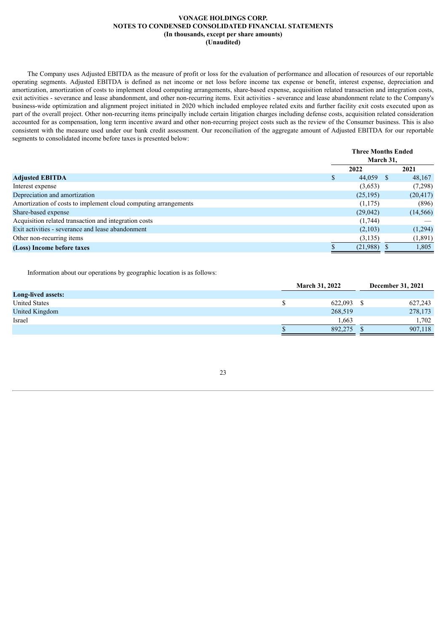The Company uses Adjusted EBITDA as the measure of profit or loss for the evaluation of performance and allocation of resources of our reportable operating segments. Adjusted EBITDA is defined as net income or net loss before income tax expense or benefit, interest expense, depreciation and amortization, amortization of costs to implement cloud computing arrangements, share-based expense, acquisition related transaction and integration costs, exit activities - severance and lease abandonment, and other non-recurring items. Exit activities - severance and lease abandonment relate to the Company's business-wide optimization and alignment project initiated in 2020 which included employee related exits and further facility exit costs executed upon as part of the overall project. Other non-recurring items principally include certain litigation charges including defense costs, acquisition related consideration accounted for as compensation, long term incentive award and other non-recurring project costs such as the review of the Consumer business. This is also consistent with the measure used under our bank credit assessment. Our reconciliation of the aggregate amount of Adjusted EBITDA for our reportable segments to consolidated income before taxes is presented below:

|                                                                 | <b>Three Months Ended</b> |           |     |           |  |
|-----------------------------------------------------------------|---------------------------|-----------|-----|-----------|--|
|                                                                 | March 31,                 |           |     |           |  |
|                                                                 |                           | 2022      |     | 2021      |  |
| <b>Adjusted EBITDA</b>                                          |                           | 44,059    | - S | 48,167    |  |
| Interest expense                                                |                           | (3,653)   |     | (7,298)   |  |
| Depreciation and amortization                                   |                           | (25, 195) |     | (20, 417) |  |
| Amortization of costs to implement cloud computing arrangements |                           | (1,175)   |     | (896)     |  |
| Share-based expense                                             |                           | (29,042)  |     | (14, 566) |  |
| Acquisition related transaction and integration costs           |                           | (1,744)   |     |           |  |
| Exit activities - severance and lease abandonment               |                           | (2,103)   |     | (1,294)   |  |
| Other non-recurring items                                       |                           | (3,135)   |     | (1,891)   |  |
| (Loss) Income before taxes                                      |                           | (21,988)  |     | 1,805     |  |

Information about our operations by geographic location is as follows:

<span id="page-22-0"></span>

|                           |  | <b>March 31, 2022</b> | December 31, 2021 |
|---------------------------|--|-----------------------|-------------------|
| <b>Long-lived assets:</b> |  |                       |                   |
| <b>United States</b>      |  | 622,093               | 627,243           |
| United Kingdom            |  | 268,519               | 278,173           |
| Israel                    |  | .663                  | 1,702             |
|                           |  | 892,275               | 907,118           |

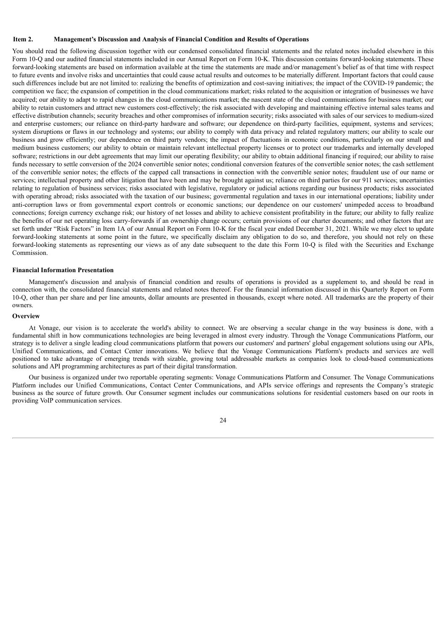#### **Item 2. Management's Discussion and Analysis of Financial Condition and Results of Operations**

You should read the following discussion together with our condensed consolidated financial statements and the related notes included elsewhere in this Form 10-Q and our audited financial statements included in our Annual Report on Form 10-K. This discussion contains forward-looking statements. These forward-looking statements are based on information available at the time the statements are made and/or management's belief as of that time with respect to future events and involve risks and uncertainties that could cause actual results and outcomes to be materially different. Important factors that could cause such differences include but are not limited to: realizing the benefits of optimization and cost-saving initiatives; the impact of the COVID-19 pandemic; the competition we face; the expansion of competition in the cloud communications market; risks related to the acquisition or integration of businesses we have acquired; our ability to adapt to rapid changes in the cloud communications market; the nascent state of the cloud communications for business market; our ability to retain customers and attract new customers cost-effectively; the risk associated with developing and maintaining effective internal sales teams and effective distribution channels; security breaches and other compromises of information security; risks associated with sales of our services to medium-sized and enterprise customers; our reliance on third-party hardware and software; our dependence on third-party facilities, equipment, systems and services; system disruptions or flaws in our technology and systems; our ability to comply with data privacy and related regulatory matters; our ability to scale our business and grow efficiently; our dependence on third party vendors; the impact of fluctuations in economic conditions, particularly on our small and medium business customers; our ability to obtain or maintain relevant intellectual property licenses or to protect our trademarks and internally developed software; restrictions in our debt agreements that may limit our operating flexibility; our ability to obtain additional financing if required; our ability to raise funds necessary to settle conversion of the 2024 convertible senior notes; conditional conversion features of the convertible senior notes; the cash settlement of the convertible senior notes; the effects of the capped call transactions in connection with the convertible senior notes; fraudulent use of our name or services; intellectual property and other litigation that have been and may be brought against us; reliance on third parties for our 911 services; uncertainties relating to regulation of business services; risks associated with legislative, regulatory or judicial actions regarding our business products; risks associated with operating abroad; risks associated with the taxation of our business; governmental regulation and taxes in our international operations; liability under anti-corruption laws or from governmental export controls or economic sanctions; our dependence on our customers' unimpeded access to broadband connections; foreign currency exchange risk; our history of net losses and ability to achieve consistent profitability in the future; our ability to fully realize the benefits of our net operating loss carry-forwards if an ownership change occurs; certain provisions of our charter documents; and other factors that are set forth under "Risk Factors" in Item 1A of our Annual Report on Form 10-K for the fiscal year ended December 31, 2021. While we may elect to update forward-looking statements at some point in the future, we specifically disclaim any obligation to do so, and therefore, you should not rely on these forward-looking statements as representing our views as of any date subsequent to the date this Form 10-Q is filed with the Securities and Exchange Commission.

#### **Financial Information Presentation**

Management's discussion and analysis of financial condition and results of operations is provided as a supplement to, and should be read in connection with, the consolidated financial statements and related notes thereof. For the financial information discussed in this Quarterly Report on Form 10-Q, other than per share and per line amounts, dollar amounts are presented in thousands, except where noted. All trademarks are the property of their owners.

## **Overview**

At Vonage, our vision is to accelerate the world's ability to connect. We are observing a secular change in the way business is done, with a fundamental shift in how communications technologies are being leveraged in almost every industry. Through the Vonage Communications Platform, our strategy is to deliver a single leading cloud communications platform that powers our customers' and partners' global engagement solutions using our APIs, Unified Communications, and Contact Center innovations. We believe that the Vonage Communications Platform's products and services are well positioned to take advantage of emerging trends with sizable, growing total addressable markets as companies look to cloud-based communications solutions and API programming architectures as part of their digital transformation.

Our business is organized under two reportable operating segments: Vonage Communications Platform and Consumer. The Vonage Communications Platform includes our Unified Communications, Contact Center Communications, and APIs service offerings and represents the Company's strategic business as the source of future growth. Our Consumer segment includes our communications solutions for residential customers based on our roots in providing VoIP communication services.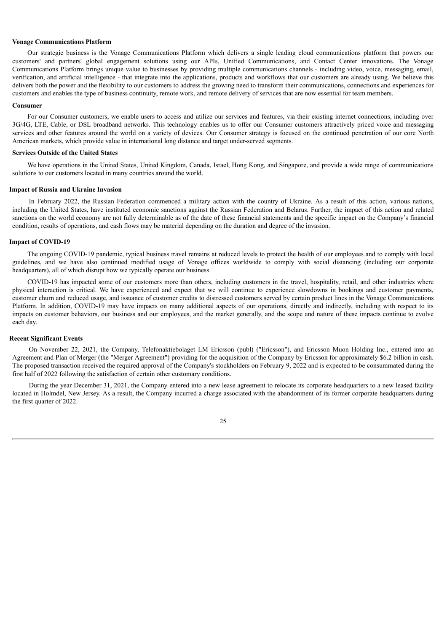#### **Vonage Communications Platform**

Our strategic business is the Vonage Communications Platform which delivers a single leading cloud communications platform that powers our customers' and partners' global engagement solutions using our APIs, Unified Communications, and Contact Center innovations. The Vonage Communications Platform brings unique value to businesses by providing multiple communications channels - including video, voice, messaging, email, verification, and artificial intelligence - that integrate into the applications, products and workflows that our customers are already using. We believe this delivers both the power and the flexibility to our customers to address the growing need to transform their communications, connections and experiences for customers and enables the type of business continuity, remote work, and remote delivery of services that are now essential for team members.

## **Consumer**

For our Consumer customers, we enable users to access and utilize our services and features, via their existing internet connections, including over 3G/4G, LTE, Cable, or DSL broadband networks. This technology enables us to offer our Consumer customers attractively priced voice and messaging services and other features around the world on a variety of devices. Our Consumer strategy is focused on the continued penetration of our core North American markets, which provide value in international long distance and target under-served segments.

## **Services Outside of the United States**

We have operations in the United States, United Kingdom, Canada, Israel, Hong Kong, and Singapore, and provide a wide range of communications solutions to our customers located in many countries around the world.

#### **Impact of Russia and Ukraine Invasion**

In February 2022, the Russian Federation commenced a military action with the country of Ukraine. As a result of this action, various nations, including the United States, have instituted economic sanctions against the Russian Federation and Belarus. Further, the impact of this action and related sanctions on the world economy are not fully determinable as of the date of these financial statements and the specific impact on the Company's financial condition, results of operations, and cash flows may be material depending on the duration and degree of the invasion.

### **Impact of COVID-19**

The ongoing COVID-19 pandemic, typical business travel remains at reduced levels to protect the health of our employees and to comply with local guidelines, and we have also continued modified usage of Vonage offices worldwide to comply with social distancing (including our corporate headquarters), all of which disrupt how we typically operate our business.

COVID-19 has impacted some of our customers more than others, including customers in the travel, hospitality, retail, and other industries where physical interaction is critical. We have experienced and expect that we will continue to experience slowdowns in bookings and customer payments, customer churn and reduced usage, and issuance of customer credits to distressed customers served by certain product lines in the Vonage Communications Platform. In addition, COVID-19 may have impacts on many additional aspects of our operations, directly and indirectly, including with respect to its impacts on customer behaviors, our business and our employees, and the market generally, and the scope and nature of these impacts continue to evolve each day.

#### **Recent Significant Events**

On November 22, 2021, the Company, Telefonaktiebolaget LM Ericsson (publ) ("Ericsson"), and Ericsson Muon Holding Inc., entered into an Agreement and Plan of Merger (the "Merger Agreement") providing for the acquisition of the Company by Ericsson for approximately \$6.2 billion in cash. The proposed transaction received the required approval of the Company's stockholders on February 9, 2022 and is expected to be consummated during the first half of 2022 following the satisfaction of certain other customary conditions.

During the year December 31, 2021, the Company entered into a new lease agreement to relocate its corporate headquarters to a new leased facility located in Holmdel, New Jersey. As a result, the Company incurred a charge associated with the abandonment of its former corporate headquarters during the first quarter of 2022.

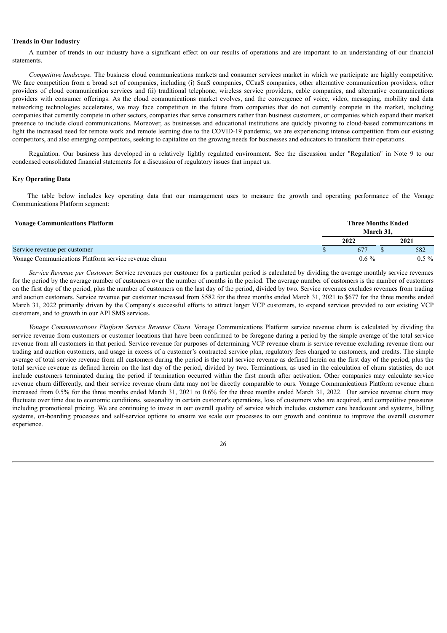#### **Trends in Our Industry**

A number of trends in our industry have a significant effect on our results of operations and are important to an understanding of our financial statements.

*Competitive landscape.* The business cloud communications markets and consumer services market in which we participate are highly competitive. We face competition from a broad set of companies, including (i) SaaS companies, CCaaS companies, other alternative communication providers, other providers of cloud communication services and (ii) traditional telephone, wireless service providers, cable companies, and alternative communications providers with consumer offerings. As the cloud communications market evolves, and the convergence of voice, video, messaging, mobility and data networking technologies accelerates, we may face competition in the future from companies that do not currently compete in the market, including companies that currently compete in other sectors, companies that serve consumers rather than business customers, or companies which expand their market presence to include cloud communications. Moreover, as businesses and educational institutions are quickly pivoting to cloud-based communications in light the increased need for remote work and remote learning due to the COVID-19 pandemic, we are experiencing intense competition from our existing competitors, and also emerging competitors, seeking to capitalize on the growing needs for businesses and educators to transform their operations.

Regulation. Our business has developed in a relatively lightly regulated environment. See the discussion under "Regulation" in Note 9 to our condensed consolidated financial statements for a discussion of regulatory issues that impact us.

#### **Key Operating Data**

The table below includes key operating data that our management uses to measure the growth and operating performance of the Vonage Communications Platform segment:

| <b>Vonage Communications Platform</b>                |  | <b>Three Months Ended</b><br>March 31. |  |          |  |  |  |  |  |
|------------------------------------------------------|--|----------------------------------------|--|----------|--|--|--|--|--|
|                                                      |  | 2022                                   |  | 2021     |  |  |  |  |  |
| Service revenue per customer                         |  | 677                                    |  | 582      |  |  |  |  |  |
| Vonage Communications Platform service revenue churn |  | $0.6\%$                                |  | $0.5 \%$ |  |  |  |  |  |

*Service Revenue per Customer.* Service revenues per customer for a particular period is calculated by dividing the average monthly service revenues for the period by the average number of customers over the number of months in the period. The average number of customers is the number of customers on the first day of the period, plus the number of customers on the last day of the period, divided by two. Service revenues excludes revenues from trading and auction customers. Service revenue per customer increased from \$582 for the three months ended March 31, 2021 to \$677 for the three months ended March 31, 2022 primarily driven by the Company's successful efforts to attract larger VCP customers, to expand services provided to our existing VCP customers, and to growth in our API SMS services.

*Vonage Communications Platform Service Revenue Churn*. Vonage Communications Platform service revenue churn is calculated by dividing the service revenue from customers or customer locations that have been confirmed to be foregone during a period by the simple average of the total service revenue from all customers in that period. Service revenue for purposes of determining VCP revenue churn is service revenue excluding revenue from our trading and auction customers, and usage in excess of a customer's contracted service plan, regulatory fees charged to customers, and credits. The simple average of total service revenue from all customers during the period is the total service revenue as defined herein on the first day of the period, plus the total service revenue as defined herein on the last day of the period, divided by two. Terminations, as used in the calculation of churn statistics, do not include customers terminated during the period if termination occurred within the first month after activation. Other companies may calculate service revenue churn differently, and their service revenue churn data may not be directly comparable to ours. Vonage Communications Platform revenue churn increased from 0.5% for the three months ended March 31, 2021 to 0.6% for the three months ended March 31, 2022. Our service revenue churn may fluctuate over time due to economic conditions, seasonality in certain customer's operations, loss of customers who are acquired, and competitive pressures including promotional pricing. We are continuing to invest in our overall quality of service which includes customer care headcount and systems, billing systems, on-boarding processes and self-service options to ensure we scale our processes to our growth and continue to improve the overall customer experience.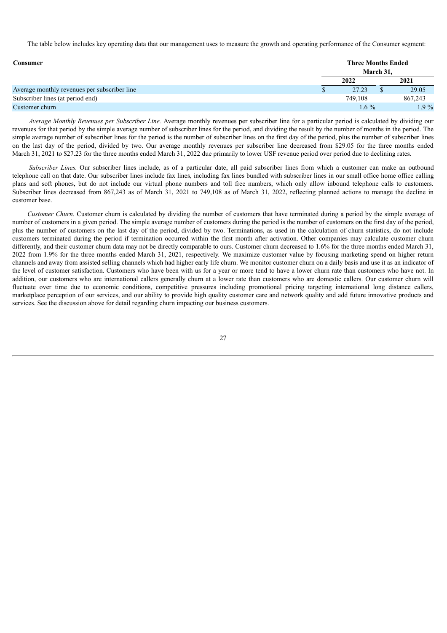The table below includes key operating data that our management uses to measure the growth and operating performance of the Consumer segment:

| Consumer                                     |  | <b>Three Months Ended</b><br>March 31. |         |  |  |  |  |  |  |  |
|----------------------------------------------|--|----------------------------------------|---------|--|--|--|--|--|--|--|
|                                              |  | 2022                                   | 2021    |  |  |  |  |  |  |  |
| Average monthly revenues per subscriber line |  | 27.23                                  | 29.05   |  |  |  |  |  |  |  |
| Subscriber lines (at period end)             |  | 749.108                                | 867,243 |  |  |  |  |  |  |  |
| Customer churn                               |  | $1.6\%$                                | 9%      |  |  |  |  |  |  |  |

*Average Monthly Revenues per Subscriber Line.* Average monthly revenues per subscriber line for a particular period is calculated by dividing our revenues for that period by the simple average number of subscriber lines for the period, and dividing the result by the number of months in the period. The simple average number of subscriber lines for the period is the number of subscriber lines on the first day of the period, plus the number of subscriber lines on the last day of the period, divided by two. Our average monthly revenues per subscriber line decreased from \$29.05 for the three months ended March 31, 2021 to \$27.23 for the three months ended March 31, 2022 due primarily to lower USF revenue period over period due to declining rates.

*Subscriber Lines.* Our subscriber lines include, as of a particular date, all paid subscriber lines from which a customer can make an outbound telephone call on that date. Our subscriber lines include fax lines, including fax lines bundled with subscriber lines in our small office home office calling plans and soft phones, but do not include our virtual phone numbers and toll free numbers, which only allow inbound telephone calls to customers. Subscriber lines decreased from 867,243 as of March 31, 2021 to 749,108 as of March 31, 2022, reflecting planned actions to manage the decline in customer base.

*Customer Churn.* Customer churn is calculated by dividing the number of customers that have terminated during a period by the simple average of number of customers in a given period. The simple average number of customers during the period is the number of customers on the first day of the period. plus the number of customers on the last day of the period, divided by two. Terminations, as used in the calculation of churn statistics, do not include customers terminated during the period if termination occurred within the first month after activation. Other companies may calculate customer churn differently, and their customer churn data may not be directly comparable to ours. Customer churn decreased to 1.6% for the three months ended March 31, 2022 from 1.9% for the three months ended March 31, 2021, respectively. We maximize customer value by focusing marketing spend on higher return channels and away from assisted selling channels which had higher early life churn. We monitor customer churn on a daily basis and use it as an indicator of the level of customer satisfaction. Customers who have been with us for a year or more tend to have a lower churn rate than customers who have not. In addition, our customers who are international callers generally churn at a lower rate than customers who are domestic callers. Our customer churn will fluctuate over time due to economic conditions, competitive pressures including promotional pricing targeting international long distance callers, marketplace perception of our services, and our ability to provide high quality customer care and network quality and add future innovative products and services. See the discussion above for detail regarding churn impacting our business customers.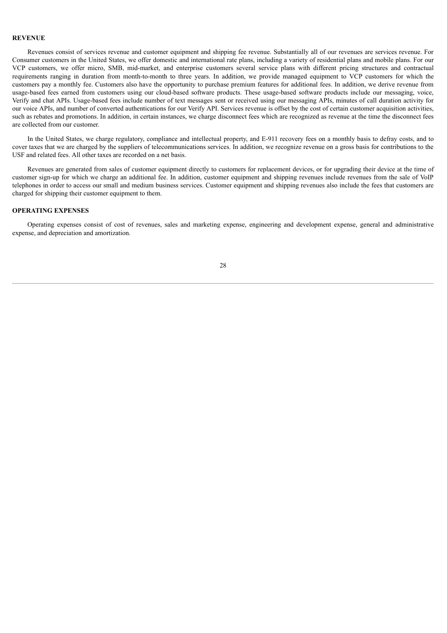### **REVENUE**

Revenues consist of services revenue and customer equipment and shipping fee revenue. Substantially all of our revenues are services revenue. For Consumer customers in the United States, we offer domestic and international rate plans, including a variety of residential plans and mobile plans. For our VCP customers, we offer micro, SMB, mid-market, and enterprise customers several service plans with different pricing structures and contractual requirements ranging in duration from month-to-month to three years. In addition, we provide managed equipment to VCP customers for which the customers pay a monthly fee. Customers also have the opportunity to purchase premium features for additional fees. In addition, we derive revenue from usage-based fees earned from customers using our cloud-based software products. These usage-based software products include our messaging, voice, Verify and chat APIs. Usage-based fees include number of text messages sent or received using our messaging APIs, minutes of call duration activity for our voice APIs, and number of converted authentications for our Verify API. Services revenue is offset by the cost of certain customer acquisition activities, such as rebates and promotions. In addition, in certain instances, we charge disconnect fees which are recognized as revenue at the time the disconnect fees are collected from our customer.

In the United States, we charge regulatory, compliance and intellectual property, and E-911 recovery fees on a monthly basis to defray costs, and to cover taxes that we are charged by the suppliers of telecommunications services. In addition, we recognize revenue on a gross basis for contributions to the USF and related fees. All other taxes are recorded on a net basis.

Revenues are generated from sales of customer equipment directly to customers for replacement devices, or for upgrading their device at the time of customer sign-up for which we charge an additional fee. In addition, customer equipment and shipping revenues include revenues from the sale of VoIP telephones in order to access our small and medium business services. Customer equipment and shipping revenues also include the fees that customers are charged for shipping their customer equipment to them.

## **OPERATING EXPENSES**

Operating expenses consist of cost of revenues, sales and marketing expense, engineering and development expense, general and administrative expense, and depreciation and amortization.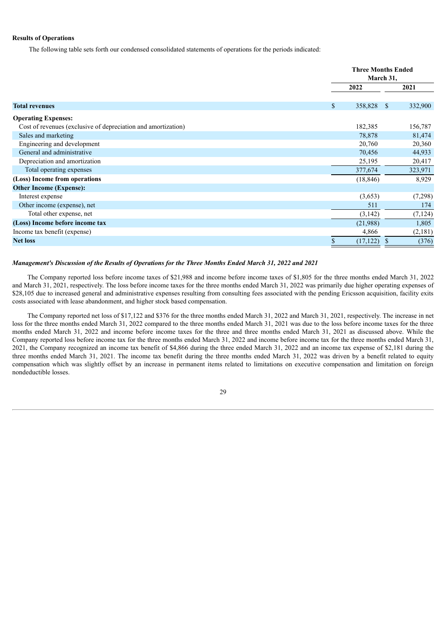## **Results of Operations**

The following table sets forth our condensed consolidated statements of operations for the periods indicated:

|                                                               | <b>Three Months Ended</b><br>March 31, |                         |  |  |
|---------------------------------------------------------------|----------------------------------------|-------------------------|--|--|
|                                                               | 2022                                   | 2021                    |  |  |
| <b>Total revenues</b>                                         | \$<br>358,828                          | 332,900<br><sup>S</sup> |  |  |
| <b>Operating Expenses:</b>                                    |                                        |                         |  |  |
| Cost of revenues (exclusive of depreciation and amortization) | 182,385                                | 156,787                 |  |  |
| Sales and marketing                                           | 78,878                                 | 81,474                  |  |  |
| Engineering and development                                   | 20,760                                 | 20,360                  |  |  |
| General and administrative                                    | 70,456                                 | 44,933                  |  |  |
| Depreciation and amortization                                 | 25,195                                 | 20,417                  |  |  |
| Total operating expenses                                      | 377,674                                | 323,971                 |  |  |
| (Loss) Income from operations                                 | (18, 846)                              | 8,929                   |  |  |
| <b>Other Income (Expense):</b>                                |                                        |                         |  |  |
| Interest expense                                              | (3,653)                                | (7,298)                 |  |  |
| Other income (expense), net                                   | 511                                    | 174                     |  |  |
| Total other expense, net                                      | (3, 142)                               | (7, 124)                |  |  |
| (Loss) Income before income tax                               | (21,988)                               | 1,805                   |  |  |
| Income tax benefit (expense)                                  | 4,866                                  | (2,181)                 |  |  |
| <b>Net loss</b>                                               | (17, 122)                              | (376)<br>S              |  |  |

#### *Management's Discussion of the Results of Operations for the Three Months Ended March 31, 2022 and 2021*

The Company reported loss before income taxes of \$21,988 and income before income taxes of \$1,805 for the three months ended March 31, 2022 and March 31, 2021, respectively. The loss before income taxes for the three months ended March 31, 2022 was primarily due higher operating expenses of \$28,105 due to increased general and administrative expenses resulting from consulting fees associated with the pending Ericsson acquisition, facility exits costs associated with lease abandonment, and higher stock based compensation.

The Company reported net loss of \$17,122 and \$376 for the three months ended March 31, 2022 and March 31, 2021, respectively. The increase in net loss for the three months ended March 31, 2022 compared to the three months ended March 31, 2021 was due to the loss before income taxes for the three months ended March 31, 2022 and income before income taxes for the three and three months ended March 31, 2021 as discussed above. While the Company reported loss before income tax for the three months ended March 31, 2022 and income before income tax for the three months ended March 31, 2021, the Company recognized an income tax benefit of \$4,866 during the three ended March 31, 2022 and an income tax expense of \$2,181 during the three months ended March 31, 2021. The income tax benefit during the three months ended March 31, 2022 was driven by a benefit related to equity compensation which was slightly offset by an increase in permanent items related to limitations on executive compensation and limitation on foreign nondeductible losses.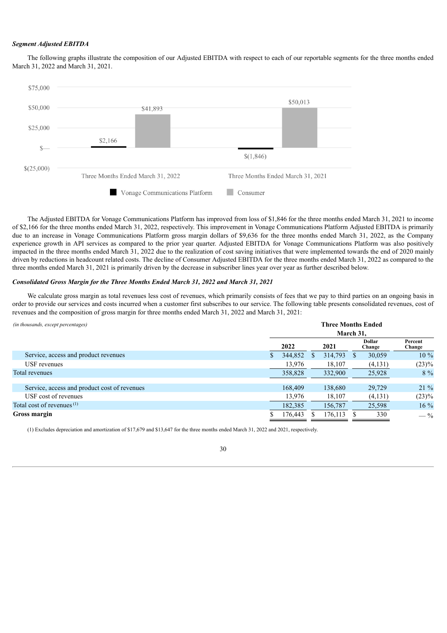## *Segment Adjusted EBITDA*

The following graphs illustrate the composition of our Adjusted EBITDA with respect to each of our reportable segments for the three months ended March 31, 2022 and March 31, 2021.



The Adjusted EBITDA for Vonage Communications Platform has improved from loss of \$1,846 for the three months ended March 31, 2021 to income of \$2,166 for the three months ended March 31, 2022, respectively. This improvement in Vonage Communications Platform Adjusted EBITDA is primarily due to an increase in Vonage Communications Platform gross margin dollars of \$9,636 for the three months ended March 31, 2022, as the Company experience growth in API services as compared to the prior year quarter. Adjusted EBITDA for Vonage Communications Platform was also positively impacted in the three months ended March 31, 2022 due to the realization of cost saving initiatives that were implemented towards the end of 2020 mainly driven by reductions in headcount related costs. The decline of Consumer Adjusted EBITDA for the three months ended March 31, 2022 as compared to the three months ended March 31, 2021 is primarily driven by the decrease in subscriber lines year over year as further described below.

#### *Consolidated Gross Margin for the Three Months Ended March 31, 2022 and March 31, 2021*

We calculate gross margin as total revenues less cost of revenues, which primarily consists of fees that we pay to third parties on an ongoing basis in order to provide our services and costs incurred when a customer first subscribes to our service. The following table presents consolidated revenues, cost of revenues and the composition of gross margin for three months ended March 31, 2022 and March 31, 2021:

| (in thousands, except percentages)           | <b>Three Months Ended</b> |         |    |         |          |                         |                   |
|----------------------------------------------|---------------------------|---------|----|---------|----------|-------------------------|-------------------|
|                                              | March 31,                 |         |    |         |          |                         |                   |
|                                              |                           | 2022    |    | 2021    |          | <b>Dollar</b><br>Change | Percent<br>Change |
| Service, access and product revenues         |                           | 344,852 | S. | 314,793 | <b>S</b> | 30,059                  | $10\%$            |
| USF revenues                                 |                           | 13,976  |    | 18,107  |          | (4, 131)                | $(23)\%$          |
| Total revenues                               |                           | 358,828 |    | 332,900 |          | 25,928                  | $8\%$             |
|                                              |                           |         |    |         |          |                         |                   |
| Service, access and product cost of revenues |                           | 168,409 |    | 138,680 |          | 29,729                  | $21\%$            |
| USF cost of revenues                         |                           | 13,976  |    | 18,107  |          | (4,131)                 | $(23)\%$          |
| Total cost of revenues $(1)$                 |                           | 182,385 |    | 156,787 |          | 25,598                  | $16\%$            |
| Gross margin                                 |                           | 176,443 |    | 176,113 |          | 330                     | $-$ %             |

(1) Excludes depreciation and amortization of \$17,679 and \$13,647 for the three months ended March 31, 2022 and 2021, respectively.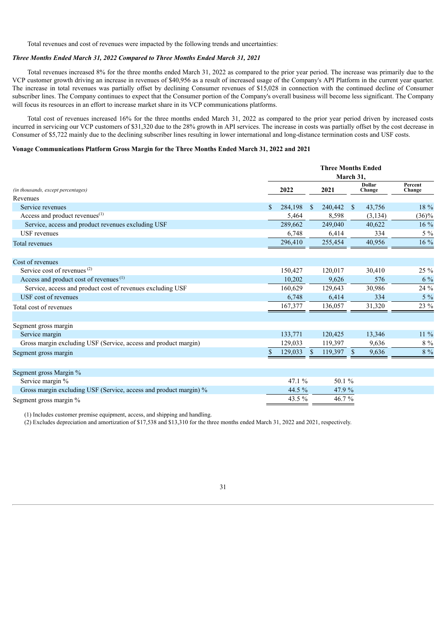Total revenues and cost of revenues were impacted by the following trends and uncertainties:

## *Three Months Ended March 31, 2022 Compared to Three Months Ended March 31, 2021*

Total revenues increased 8% for the three months ended March 31, 2022 as compared to the prior year period. The increase was primarily due to the VCP customer growth driving an increase in revenues of \$40,956 as a result of increased usage of the Company's API Platform in the current year quarter. The increase in total revenues was partially offset by declining Consumer revenues of \$15,028 in connection with the continued decline of Consumer subscriber lines. The Company continues to expect that the Consumer portion of the Company's overall business will become less significant. The Company will focus its resources in an effort to increase market share in its VCP communications platforms.

Total cost of revenues increased 16% for the three months ended March 31, 2022 as compared to the prior year period driven by increased costs incurred in servicing our VCP customers of \$31,320 due to the 28% growth in API services. The increase in costs was partially offset by the cost decrease in Consumer of \$5,722 mainly due to the declining subscriber lines resulting in lower international and long-distance termination costs and USF costs.

## **Vonage Communications Platform Gross Margin for the Three Months Ended March 31, 2022 and 2021**

|                                                                   |    | <b>Three Months Ended</b><br>March 31, |              |         |               |                         |                   |  |  |  |  |
|-------------------------------------------------------------------|----|----------------------------------------|--------------|---------|---------------|-------------------------|-------------------|--|--|--|--|
| (in thousands, except percentages)                                |    | 2022                                   |              | 2021    |               | <b>Dollar</b><br>Change | Percent<br>Change |  |  |  |  |
| Revenues                                                          |    |                                        |              |         |               |                         |                   |  |  |  |  |
| Service revenues                                                  | \$ | 284,198                                | <sup>S</sup> | 240,442 | <sup>\$</sup> | 43,756                  | 18 %              |  |  |  |  |
| Access and product revenues <sup>(1)</sup>                        |    | 5,464                                  |              | 8,598   |               | (3, 134)                | $(36)\%$          |  |  |  |  |
| Service, access and product revenues excluding USF                |    | 289,662                                |              | 249,040 |               | 40,622                  | 16 %              |  |  |  |  |
| <b>USF</b> revenues                                               |    | 6,748                                  |              | 6,414   |               | 334                     | $5\ \%$           |  |  |  |  |
| Total revenues                                                    |    | 296,410                                |              | 255,454 |               | 40,956                  | 16 %              |  |  |  |  |
| Cost of revenues                                                  |    |                                        |              |         |               |                         |                   |  |  |  |  |
| Service cost of revenues $(2)$                                    |    | 150,427                                |              | 120,017 |               | 30,410                  | 25 %              |  |  |  |  |
| Access and product cost of revenues <sup>(1)</sup>                |    | 10,202                                 |              | 9,626   |               | 576                     | $6\%$             |  |  |  |  |
| Service, access and product cost of revenues excluding USF        |    | 160,629                                |              | 129,643 |               | 30,986                  | 24 %              |  |  |  |  |
| USF cost of revenues                                              |    | 6,748                                  |              | 6,414   |               | 334                     | $5\%$             |  |  |  |  |
| Total cost of revenues                                            |    | 167,377                                |              | 136,057 |               | 31,320                  | 23 %              |  |  |  |  |
| Segment gross margin                                              |    |                                        |              |         |               |                         |                   |  |  |  |  |
| Service margin                                                    |    | 133,771                                |              | 120,425 |               | 13,346                  | $11\%$            |  |  |  |  |
| Gross margin excluding USF (Service, access and product margin)   |    | 129,033                                |              | 119,397 |               | 9,636                   | 8 %               |  |  |  |  |
| Segment gross margin                                              | S  | 129,033                                | S.           | 119,397 | <sup>\$</sup> | 9,636                   | $8 \ \%$          |  |  |  |  |
|                                                                   |    |                                        |              |         |               |                         |                   |  |  |  |  |
| Segment gross Margin %<br>Service margin %                        |    | 47.1%                                  |              | 50.1 %  |               |                         |                   |  |  |  |  |
| Gross margin excluding USF (Service, access and product margin) % |    | 44.5 %                                 |              | 47.9 %  |               |                         |                   |  |  |  |  |
|                                                                   |    | 43.5 %                                 |              | 46.7%   |               |                         |                   |  |  |  |  |
| Segment gross margin %                                            |    |                                        |              |         |               |                         |                   |  |  |  |  |

(1) Includes customer premise equipment, access, and shipping and handling.

(2) Excludes depreciation and amortization of \$17,538 and \$13,310 for the three months ended March 31, 2022 and 2021, respectively.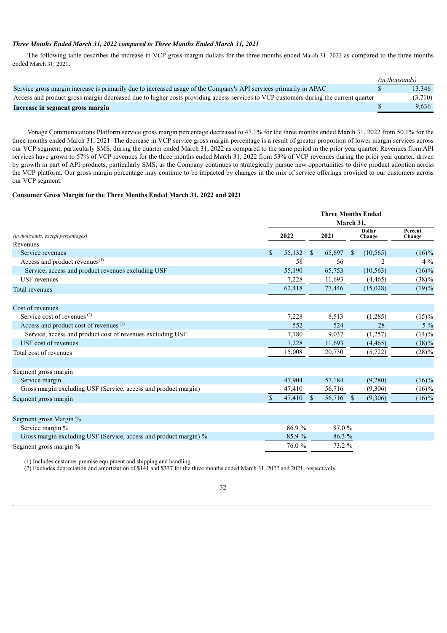## *Three Months Ended March 31, 2022 compared to Three Months Ended March 31, 2021*

The following table describes the increase in VCP gross margin dollars for the three months ended March 31, 2022 as compared to the three months ended March 31, 2021:

|                                                                                                                                     | (in thousands) |         |
|-------------------------------------------------------------------------------------------------------------------------------------|----------------|---------|
| Service gross margin increase is primarily due to increased usage of the Company's API services primarily in APAC                   |                | 13.346  |
| Access and product gross margin decreased due to higher costs providing access services to VCP customers during the current quarter |                | (3,710) |
| Increase in segment gross margin                                                                                                    |                | 9.636   |

Vonage Communications Platform service gross margin percentage decreased to 47.1% for the three months ended March 31, 2022 from 50.1% for the three months ended March 31, 2021. The decrease in VCP service gross margin percentage is a result of greater proportion of lower margin services across our VCP segment, particularly SMS, during the quarter ended March 31, 2022 as compared to the same period in the prior year quarter. Revenues from API services have grown to 57% of VCP revenues for the three months ended March 31, 2022 from 53% of VCP revenues during the prior year quarter, driven by growth in part of API products, particularly SMS, as the Company continues to strategically pursue new opportunities to drive product adoption across the VCP platform. Our gross margin percentage may continue to be impacted by changes in the mix of service offerings provided to our customers across our VCP segment.

## **Consumer Gross Margin for the Three Months Ended March 31, 2022 and 2021**

| <b>Three Months Ended</b><br>March 31,                            |     |        |      |        |    |                         |                   |
|-------------------------------------------------------------------|-----|--------|------|--------|----|-------------------------|-------------------|
| (in thousands, except percentages)                                |     | 2022   |      | 2021   |    | <b>Dollar</b><br>Change | Percent<br>Change |
| Revenues                                                          |     |        |      |        |    |                         |                   |
| Service revenues                                                  | \$. | 55,132 | - \$ | 65,697 | S  | (10, 565)               | $(16)\%$          |
| Access and product revenues <sup>(1)</sup>                        |     | 58     |      | 56     |    | 2                       | $4\%$             |
| Service, access and product revenues excluding USF                |     | 55,190 |      | 65,753 |    | (10, 563)               | $(16)\%$          |
| <b>USF</b> revenues                                               |     | 7,228  |      | 11,693 |    | (4, 465)                | $(38)\%$          |
| Total revenues                                                    |     | 62,418 |      | 77,446 |    | (15,028)                | (19)%             |
| Cost of revenues                                                  |     |        |      |        |    |                         |                   |
| Service cost of revenues <sup>(2)</sup>                           |     | 7,228  |      | 8,513  |    | (1,285)                 | $(15)\%$          |
| Access and product cost of revenues <sup>(1)</sup>                |     | 552    |      | 524    |    | 28                      | $5\%$             |
| Service, access and product cost of revenues excluding USF        |     | 7,780  |      | 9,037  |    | (1,257)                 | (14)%             |
| USF cost of revenues                                              |     | 7,228  |      | 11,693 |    | (4, 465)                | (38)%             |
| Total cost of revenues                                            |     | 15,008 |      | 20,730 |    | (5, 722)                | (28)%             |
|                                                                   |     |        |      |        |    |                         |                   |
| Segment gross margin                                              |     |        |      |        |    |                         |                   |
| Service margin                                                    |     | 47,904 |      | 57,184 |    | (9,280)                 | $(16)\%$          |
| Gross margin excluding USF (Service, access and product margin)   |     | 47,410 |      | 56,716 |    | (9,306)                 | $(16)\%$          |
| Segment gross margin                                              |     | 47,410 | \$   | 56,716 | \$ | (9,306)                 | (16)%             |
| Segment gross Margin %                                            |     |        |      |        |    |                         |                   |
| Service margin %                                                  |     | 86.9%  |      | 87.0%  |    |                         |                   |
| Gross margin excluding USF (Service, access and product margin) % |     | 85.9%  |      | 86.3 % |    |                         |                   |
| Segment gross margin %                                            |     | 76.0%  |      | 73.2 % |    |                         |                   |

(1) Includes customer premise equipment and shipping and handling.

(2) Excludes depreciation and amortization of \$141 and \$337 for the three months ended March 31, 2022 and 2021, respectively.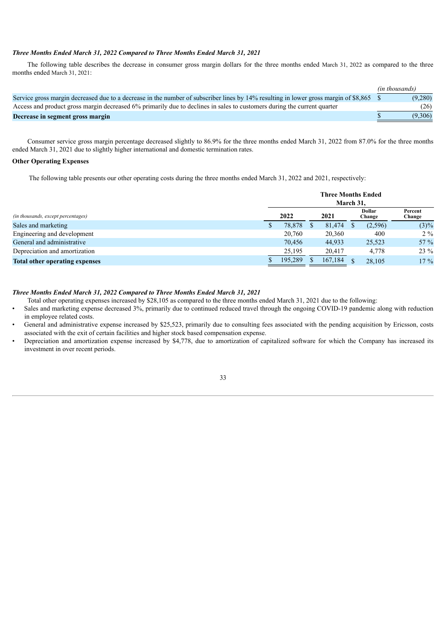## *Three Months Ended March 31, 2022 Compared to Three Months Ended March 31, 2021*

The following table describes the decrease in consumer gross margin dollars for the three months ended March 31, 2022 as compared to the three months ended March 31, 2021:

|                                                                                                                                      | (in thousands) |
|--------------------------------------------------------------------------------------------------------------------------------------|----------------|
| Service gross margin decreased due to a decrease in the number of subscriber lines by 14% resulting in lower gross margin of \$8,865 | (9,280)        |
| Access and product gross margin decreased 6% primarily due to declines in sales to customers during the current quarter              | (26)           |
| Decrease in segment gross margin                                                                                                     | (9,306)        |

Consumer service gross margin percentage decreased slightly to 86.9% for the three months ended March 31, 2022 from 87.0% for the three months ended March 31, 2021 due to slightly higher international and domestic termination rates.

## **Other Operating Expenses**

The following table presents our other operating costs during the three months ended March 31, 2022 and 2021, respectively:

|                                       | <b>Three Months Ended</b><br>March 31, |         |  |         |  |                         |                   |
|---------------------------------------|----------------------------------------|---------|--|---------|--|-------------------------|-------------------|
| (in thousands, except percentages)    |                                        | 2022    |  | 2021    |  | <b>Dollar</b><br>Change | Percent<br>Change |
| Sales and marketing                   |                                        | 78,878  |  | 81,474  |  | (2,596)                 | $(3)\%$           |
| Engineering and development           |                                        | 20,760  |  | 20,360  |  | 400                     | $2\%$             |
| General and administrative            |                                        | 70,456  |  | 44,933  |  | 25,523                  | $57\%$            |
| Depreciation and amortization         |                                        | 25,195  |  | 20,417  |  | 4,778                   | 23 %              |
| <b>Total other operating expenses</b> |                                        | 195,289 |  | 167,184 |  | 28,105                  | $17\%$            |

## *Three Months Ended March 31, 2022 Compared to Three Months Ended March 31, 2021*

Total other operating expenses increased by \$28,105 as compared to the three months ended March 31, 2021 due to the following:

- Sales and marketing expense decreased 3%, primarily due to continued reduced travel through the ongoing COVID-19 pandemic along with reduction in employee related costs.
- General and administrative expense increased by \$25,523, primarily due to consulting fees associated with the pending acquisition by Ericsson, costs associated with the exit of certain facilities and higher stock based compensation expense.
- Depreciation and amortization expense increased by \$4,778, due to amortization of capitalized software for which the Company has increased its investment in over recent periods.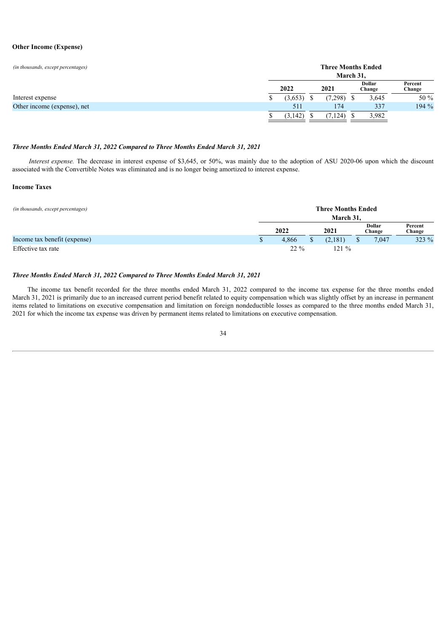# **Other Income (Expense)**

| (in thousands, except percentages) |          | <b>Three Months Ended</b><br>March 31. |                         |                   |
|------------------------------------|----------|----------------------------------------|-------------------------|-------------------|
|                                    | 2022     | 2021                                   | <b>Dollar</b><br>Change | Percent<br>Change |
| Interest expense                   | (3,653)  | (7,298)                                | 3,645                   | 50 %              |
| Other income (expense), net        | 511      | 174                                    | 337                     | 194 %             |
|                                    | (3, 142) | 7,124)                                 | 3,982                   |                   |

#### *Three Months Ended March 31, 2022 Compared to Three Months Ended March 31, 2021*

*Interest expense.* The decrease in interest expense of \$3,645, or 50%, was mainly due to the adoption of ASU 2020-06 upon which the discount associated with the Convertible Notes was eliminated and is no longer being amortized to interest expense.

## **Income Taxes**

| (in thousands, except percentages) |        | <b>Three Months Ended</b><br>March 31. |                         |                   |
|------------------------------------|--------|----------------------------------------|-------------------------|-------------------|
|                                    | 2022   | 2021                                   | <b>Dollar</b><br>Change | Percent<br>Change |
| Income tax benefit (expense)       | 4.866  | (2.181)                                | 7.047                   | $323 \%$          |
| Effective tax rate                 | $22\%$ | $121\%$                                |                         |                   |

# *Three Months Ended March 31, 2022 Compared to Three Months Ended March 31, 2021*

The income tax benefit recorded for the three months ended March 31, 2022 compared to the income tax expense for the three months ended March 31, 2021 is primarily due to an increased current period benefit related to equity compensation which was slightly offset by an increase in permanent items related to limitations on executive compensation and limitation on foreign nondeductible losses as compared to the three months ended March 31, 2021 for which the income tax expense was driven by permanent items related to limitations on executive compensation.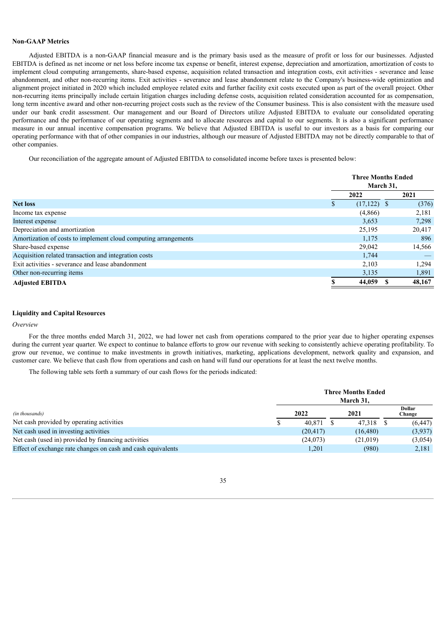## **Non-GAAP Metrics**

Adjusted EBITDA is a non-GAAP financial measure and is the primary basis used as the measure of profit or loss for our businesses. Adjusted EBITDA is defined as net income or net loss before income tax expense or benefit, interest expense, depreciation and amortization, amortization of costs to implement cloud computing arrangements, share-based expense, acquisition related transaction and integration costs, exit activities - severance and lease abandonment, and other non-recurring items. Exit activities - severance and lease abandonment relate to the Company's business-wide optimization and alignment project initiated in 2020 which included employee related exits and further facility exit costs executed upon as part of the overall project. Other non-recurring items principally include certain litigation charges including defense costs, acquisition related consideration accounted for as compensation, long term incentive award and other non-recurring project costs such as the review of the Consumer business. This is also consistent with the measure used under our bank credit assessment. Our management and our Board of Directors utilize Adjusted EBITDA to evaluate our consolidated operating performance and the performance of our operating segments and to allocate resources and capital to our segments. It is also a significant performance measure in our annual incentive compensation programs. We believe that Adjusted EBITDA is useful to our investors as a basis for comparing our operating performance with that of other companies in our industries, although our measure of Adjusted EBITDA may not be directly comparable to that of other companies.

Our reconciliation of the aggregate amount of Adjusted EBITDA to consolidated income before taxes is presented below:

|                                                                 | <b>Three Months Ended</b><br>March 31, |  |        |  |  |
|-----------------------------------------------------------------|----------------------------------------|--|--------|--|--|
|                                                                 | 2022                                   |  | 2021   |  |  |
| <b>Net loss</b>                                                 | $(17,122)$ \$                          |  | (376)  |  |  |
| Income tax expense                                              | (4,866)                                |  | 2,181  |  |  |
| Interest expense                                                | 3,653                                  |  | 7,298  |  |  |
| Depreciation and amortization                                   | 25,195                                 |  | 20,417 |  |  |
| Amortization of costs to implement cloud computing arrangements | 1,175                                  |  | 896    |  |  |
| Share-based expense                                             | 29,042                                 |  | 14,566 |  |  |
| Acquisition related transaction and integration costs           | 1,744                                  |  |        |  |  |
| Exit activities - severance and lease abandonment               | 2,103                                  |  | 1,294  |  |  |
| Other non-recurring items                                       | 3,135                                  |  | 1,891  |  |  |
| <b>Adjusted EBITDA</b>                                          | 44,059                                 |  | 48,167 |  |  |

#### **Liquidity and Capital Resources**

#### *Overview*

For the three months ended March 31, 2022, we had lower net cash from operations compared to the prior year due to higher operating expenses during the current year quarter. We expect to continue to balance efforts to grow our revenue with seeking to consistently achieve operating profitability. To grow our revenue, we continue to make investments in growth initiatives, marketing, applications development, network quality and expansion, and customer care. We believe that cash flow from operations and cash on hand will fund our operations for at least the next twelve months.

The following table sets forth a summary of our cash flows for the periods indicated:

|                                                              |           | <b>Three Months Ended</b><br>March 31. |                         |
|--------------------------------------------------------------|-----------|----------------------------------------|-------------------------|
| (in thousands)                                               | 2022      | 2021                                   | <b>Dollar</b><br>Change |
| Net cash provided by operating activities                    | 40.871 \$ | 47.318                                 | (6, 447)                |
| Net cash used in investing activities                        | (20, 417) | (16,480)                               | (3,937)                 |
| Net cash (used in) provided by financing activities          | (24,073)  | (21,019)                               | (3,054)                 |
| Effect of exchange rate changes on cash and cash equivalents | 1,201     | (980)                                  | 2,181                   |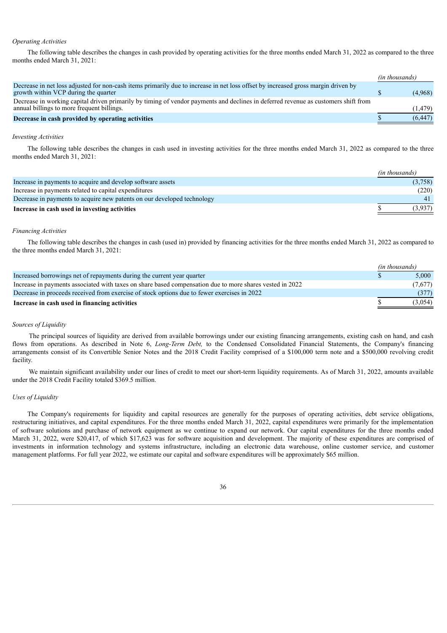## *Operating Activities*

The following table describes the changes in cash provided by operating activities for the three months ended March 31, 2022 as compared to the three months ended March 31, 2021:

|                                                                                                                                                                                  | <i>(in thousands)</i> |          |
|----------------------------------------------------------------------------------------------------------------------------------------------------------------------------------|-----------------------|----------|
| Decrease in net loss adjusted for non-cash items primarily due to increase in net loss offset by increased gross margin driven by<br>growth within VCP during the quarter        |                       | (4.968)  |
| Decrease in working capital driven primarily by timing of vendor payments and declines in deferred revenue as customers shift from<br>annual billings to more frequent billings. |                       | (1, 479) |
| Decrease in cash provided by operating activities                                                                                                                                |                       | (6, 447) |

#### *Investing Activities*

The following table describes the changes in cash used in investing activities for the three months ended March 31, 2022 as compared to the three months ended March 31, 2021:

|                                                                         | <i>(in thousands)</i> |
|-------------------------------------------------------------------------|-----------------------|
| Increase in payments to acquire and develop software assets             | (3,758)               |
| Increase in payments related to capital expenditures                    | (220)                 |
| Decrease in payments to acquire new patents on our developed technology | 41                    |
| Increase in cash used in investing activities                           | (3.937)               |

#### *Financing Activities*

The following table describes the changes in cash (used in) provided by financing activities for the three months ended March 31, 2022 as compared to the three months ended March 31, 2021:

|                                                                                                          | <i>(in thousands)</i> |         |
|----------------------------------------------------------------------------------------------------------|-----------------------|---------|
| Increased borrowings net of repayments during the current year quarter                                   |                       | 5.000   |
| Increase in payments associated with taxes on share based compensation due to more shares vested in 2022 |                       | (7,677) |
| Decrease in proceeds received from exercise of stock options due to fewer exercises in 2022              |                       | (377)   |
| Increase in cash used in financing activities                                                            |                       | (3,054) |

## *Sources of Liquidity*

The principal sources of liquidity are derived from available borrowings under our existing financing arrangements, existing cash on hand, and cash flows from operations. As described in Note 6, *Long-Term Debt,* to the Condensed Consolidated Financial Statements, the Company's financing arrangements consist of its Convertible Senior Notes and the 2018 Credit Facility comprised of a \$100,000 term note and a \$500,000 revolving credit facility.

We maintain significant availability under our lines of credit to meet our short-term liquidity requirements. As of March 31, 2022, amounts available under the 2018 Credit Facility totaled \$369.5 million.

#### *Uses of Liquidity*

The Company's requirements for liquidity and capital resources are generally for the purposes of operating activities, debt service obligations, restructuring initiatives, and capital expenditures. For the three months ended March 31, 2022, capital expenditures were primarily for the implementation of software solutions and purchase of network equipment as we continue to expand our network. Our capital expenditures for the three months ended March 31, 2022, were \$20,417, of which \$17,623 was for software acquisition and development. The majority of these expenditures are comprised of investments in information technology and systems infrastructure, including an electronic data warehouse, online customer service, and customer management platforms. For full year 2022, we estimate our capital and software expenditures will be approximately \$65 million.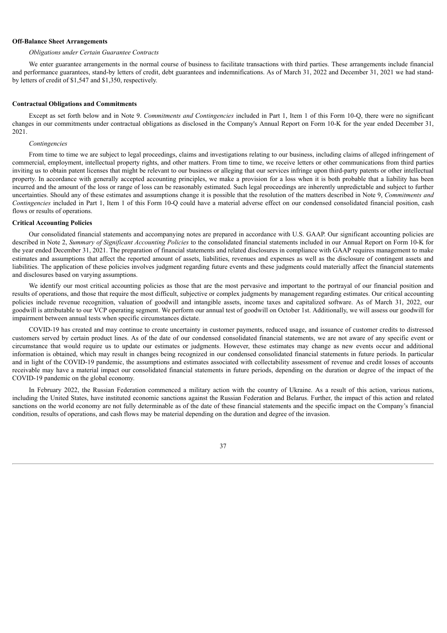#### **Off-Balance Sheet Arrangements**

### *Obligations under Certain Guarantee Contracts*

We enter guarantee arrangements in the normal course of business to facilitate transactions with third parties. These arrangements include financial and performance guarantees, stand-by letters of credit, debt guarantees and indemnifications. As of March 31, 2022 and December 31, 2021 we had standby letters of credit of \$1,547 and \$1,350, respectively.

## **Contractual Obligations and Commitments**

Except as set forth below and in Note 9. *Commitments and Contingencies* included in Part 1, Item 1 of this Form 10-Q, there were no significant changes in our commitments under contractual obligations as disclosed in the Company's Annual Report on Form 10-K for the year ended December 31, 2021.

#### *Contingencies*

From time to time we are subject to legal proceedings, claims and investigations relating to our business, including claims of alleged infringement of commercial, employment, intellectual property rights, and other matters. From time to time, we receive letters or other communications from third parties inviting us to obtain patent licenses that might be relevant to our business or alleging that our services infringe upon third-party patents or other intellectual property. In accordance with generally accepted accounting principles, we make a provision for a loss when it is both probable that a liability has been incurred and the amount of the loss or range of loss can be reasonably estimated. Such legal proceedings are inherently unpredictable and subject to further uncertainties. Should any of these estimates and assumptions change it is possible that the resolution of the matters described in Note 9, *Commitments and Contingencies* included in Part 1, Item 1 of this Form 10-Q could have a material adverse effect on our condensed consolidated financial position, cash flows or results of operations.

# **Critical Accounting Policies**

Our consolidated financial statements and accompanying notes are prepared in accordance with U.S. GAAP. Our significant accounting policies are described in Note 2, *Summary of Significant Accounting Policies* to the consolidated financial statements included in our Annual Report on Form 10-K for the year ended December 31, 2021. The preparation of financial statements and related disclosures in compliance with GAAP requires management to make estimates and assumptions that affect the reported amount of assets, liabilities, revenues and expenses as well as the disclosure of contingent assets and liabilities. The application of these policies involves judgment regarding future events and these judgments could materially affect the financial statements and disclosures based on varying assumptions.

We identify our most critical accounting policies as those that are the most pervasive and important to the portrayal of our financial position and results of operations, and those that require the most difficult, subjective or complex judgments by management regarding estimates. Our critical accounting policies include revenue recognition, valuation of goodwill and intangible assets, income taxes and capitalized software. As of March 31, 2022, our goodwill is attributable to our VCP operating segment. We perform our annual test of goodwill on October 1st. Additionally, we will assess our goodwill for impairment between annual tests when specific circumstances dictate.

COVID-19 has created and may continue to create uncertainty in customer payments, reduced usage, and issuance of customer credits to distressed customers served by certain product lines. As of the date of our condensed consolidated financial statements, we are not aware of any specific event or circumstance that would require us to update our estimates or judgments. However, these estimates may change as new events occur and additional information is obtained, which may result in changes being recognized in our condensed consolidated financial statements in future periods. In particular and in light of the COVID-19 pandemic, the assumptions and estimates associated with collectability assessment of revenue and credit losses of accounts receivable may have a material impact our consolidated financial statements in future periods, depending on the duration or degree of the impact of the COVID-19 pandemic on the global economy.

<span id="page-36-0"></span>In February 2022, the Russian Federation commenced a military action with the country of Ukraine. As a result of this action, various nations, including the United States, have instituted economic sanctions against the Russian Federation and Belarus. Further, the impact of this action and related sanctions on the world economy are not fully determinable as of the date of these financial statements and the specific impact on the Company's financial condition, results of operations, and cash flows may be material depending on the duration and degree of the invasion.

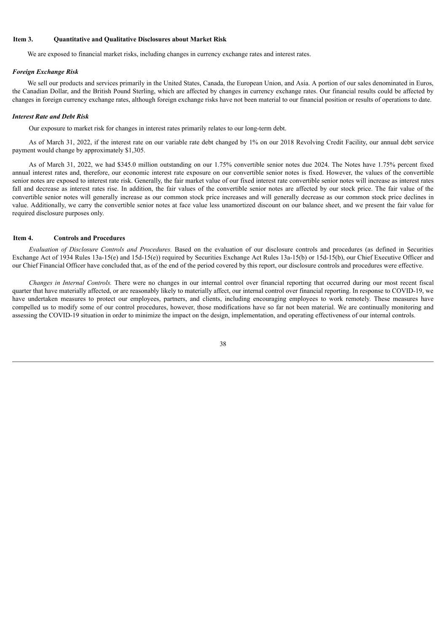#### **Item 3. Quantitative and Qualitative Disclosures about Market Risk**

We are exposed to financial market risks, including changes in currency exchange rates and interest rates.

#### *Foreign Exchange Risk*

We sell our products and services primarily in the United States, Canada, the European Union, and Asia. A portion of our sales denominated in Euros, the Canadian Dollar, and the British Pound Sterling, which are affected by changes in currency exchange rates. Our financial results could be affected by changes in foreign currency exchange rates, although foreign exchange risks have not been material to our financial position or results of operations to date.

#### *Interest Rate and Debt Risk*

Our exposure to market risk for changes in interest rates primarily relates to our long-term debt.

As of March 31, 2022, if the interest rate on our variable rate debt changed by 1% on our 2018 Revolving Credit Facility, our annual debt service payment would change by approximately \$1,305.

As of March 31, 2022, we had \$345.0 million outstanding on our 1.75% convertible senior notes due 2024. The Notes have 1.75% percent fixed annual interest rates and, therefore, our economic interest rate exposure on our convertible senior notes is fixed. However, the values of the convertible senior notes are exposed to interest rate risk. Generally, the fair market value of our fixed interest rate convertible senior notes will increase as interest rates fall and decrease as interest rates rise. In addition, the fair values of the convertible senior notes are affected by our stock price. The fair value of the convertible senior notes will generally increase as our common stock price increases and will generally decrease as our common stock price declines in value. Additionally, we carry the convertible senior notes at face value less unamortized discount on our balance sheet, and we present the fair value for required disclosure purposes only.

#### <span id="page-37-0"></span>**Item 4. Controls and Procedures**

*Evaluation of Disclosure Controls and Procedures.* Based on the evaluation of our disclosure controls and procedures (as defined in Securities Exchange Act of 1934 Rules 13a-15(e) and 15d-15(e)) required by Securities Exchange Act Rules 13a-15(b) or 15d-15(b), our Chief Executive Officer and our Chief Financial Officer have concluded that, as of the end of the period covered by this report, our disclosure controls and procedures were effective.

<span id="page-37-1"></span>*Changes in Internal Controls.* There were no changes in our internal control over financial reporting that occurred during our most recent fiscal quarter that have materially affected, or are reasonably likely to materially affect, our internal control over financial reporting. In response to COVID-19, we have undertaken measures to protect our employees, partners, and clients, including encouraging employees to work remotely. These measures have compelled us to modify some of our control procedures, however, those modifications have so far not been material. We are continually monitoring and assessing the COVID-19 situation in order to minimize the impact on the design, implementation, and operating effectiveness of our internal controls.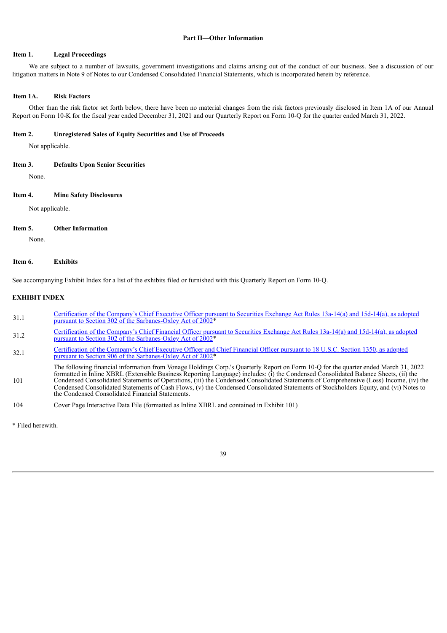## **Part II—Other Information**

## <span id="page-38-0"></span>**Item 1. Legal Proceedings**

We are subject to a number of lawsuits, government investigations and claims arising out of the conduct of our business. See a discussion of our litigation matters in Note 9 of Notes to our Condensed Consolidated Financial Statements, which is incorporated herein by reference.

### <span id="page-38-1"></span>**Item 1A. Risk Factors**

Other than the risk factor set forth below, there have been no material changes from the risk factors previously disclosed in Item 1A of our Annual Report on Form 10-K for the fiscal year ended December 31, 2021 and our Quarterly Report on Form 10-Q for the quarter ended March 31, 2022.

#### <span id="page-38-2"></span>**Item 2. Unregistered Sales of Equity Securities and Use of Proceeds**

Not applicable.

#### <span id="page-38-3"></span>**Item 3. Defaults Upon Senior Securities**

None.

## <span id="page-38-4"></span>**Item 4. Mine Safety Disclosures**

Not applicable.

## <span id="page-38-5"></span>**Item 5. Other Information**

None.

## <span id="page-38-6"></span>**Item 6. Exhibits**

See accompanying Exhibit Index for a list of the exhibits filed or furnished with this Quarterly Report on Form 10-Q.

## **EXHIBIT INDEX**

| 31.1 | Certification of the Company's Chief Executive Officer pursuant to Securities Exchange Act Rules 13a-14(a) and 15d-14(a), as adopted |
|------|--------------------------------------------------------------------------------------------------------------------------------------|
|      | pursuant to Section 302 of the Sarbanes-Oxley Act of 2002 <sup>*</sup>                                                               |

- 31.2 Certification of the Company's Chief Financial Officer pursuant to Securities Exchange Act Rules 13a-14(a) and 15d-14(a), as adopted pursuant to Section 302 of the [Sarbanes-Oxley](#page-41-0) Act of 2002<sup>\*</sup>
- 32.1 Certification of the Company's Chief Executive Officer and Chief Financial Officer pursuant to 18 U.S.C. Section 1350, as adopted pursuant to Section 906 of the [Sarbanes-Oxley](#page-42-0) Act of 2002\*
- 101 The following financial information from Vonage Holdings Corp.'s Quarterly Report on Form 10-Q for the quarter ended March 31, 2022 formatted in Inline XBRL (Extensible Business Reporting Language) includes: (i) the Condensed Consolidated Balance Sheets, (ii) the Condensed Consolidated Statements of Operations, (iii) the Condensed Consolidated Statements of Comprehensive (Loss) Income, (iv) the Condensed Consolidated Statements of Cash Flows, (v) the Condensed Consolidated Statements of Stockholders Equity, and (vi) Notes to the Condensed Consolidated Financial Statements.
- 104 Cover Page Interactive Data File (formatted as Inline XBRL and contained in Exhibit 101)

<span id="page-38-7"></span>\* Filed herewith.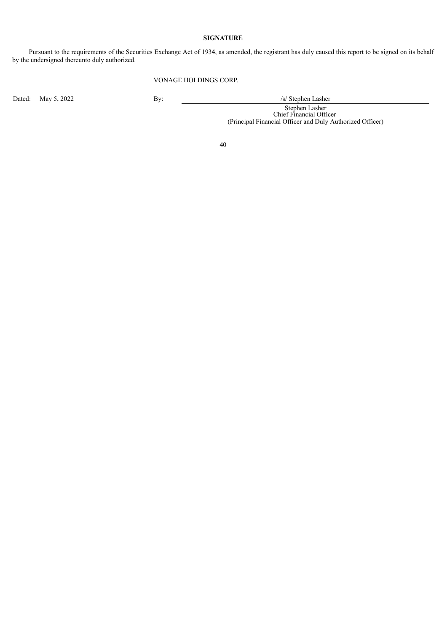## **SIGNATURE**

Pursuant to the requirements of the Securities Exchange Act of 1934, as amended, the registrant has duly caused this report to be signed on its behalf by the undersigned thereunto duly authorized.

# VONAGE HOLDINGS CORP.

Dated: May 5, 2022 By: By: /s/ Stephen Lasher

Stephen Lasher Chief Financial Officer (Principal Financial Officer and Duly Authorized Officer)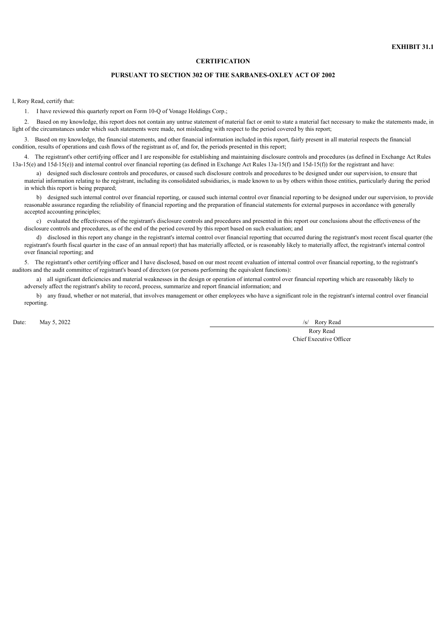# **CERTIFICATION**

## **PURSUANT TO SECTION 302 OF THE SARBANES-OXLEY ACT OF 2002**

<span id="page-40-0"></span>I, Rory Read, certify that:

1. I have reviewed this quarterly report on Form 10-Q of Vonage Holdings Corp.;

Based on my knowledge, this report does not contain any untrue statement of material fact or omit to state a material fact necessary to make the statements made, in light of the circumstances under which such statements were made, not misleading with respect to the period covered by this report;

3. Based on my knowledge, the financial statements, and other financial information included in this report, fairly present in all material respects the financial condition, results of operations and cash flows of the registrant as of, and for, the periods presented in this report;

4. The registrant's other certifying officer and I are responsible for establishing and maintaining disclosure controls and procedures (as defined in Exchange Act Rules  $13a-15(e)$  and  $15d-15(e)$ ) and internal control over financial reporting (as defined in Exchange Act Rules  $13a-15(f)$  and  $15d-15(f)$ ) for the registrant and have:

a) designed such disclosure controls and procedures, or caused such disclosure controls and procedures to be designed under our supervision, to ensure that material information relating to the registrant, including its consolidated subsidiaries, is made known to us by others within those entities, particularly during the period in which this report is being prepared;

b) designed such internal control over financial reporting, or caused such internal control over financial reporting to be designed under our supervision, to provide reasonable assurance regarding the reliability of financial reporting and the preparation of financial statements for external purposes in accordance with generally accepted accounting principles;

c) evaluated the effectiveness of the registrant's disclosure controls and procedures and presented in this report our conclusions about the effectiveness of the disclosure controls and procedures, as of the end of the period covered by this report based on such evaluation; and

d) disclosed in this report any change in the registrant's internal control over financial reporting that occurred during the registrant's most recent fiscal quarter (the registrant's fourth fiscal quarter in the case of an annual report) that has materially affected, or is reasonably likely to materially affect, the registrant's internal control over financial reporting; and

5. The registrant's other certifying officer and I have disclosed, based on our most recent evaluation of internal control over financial reporting, to the registrant's auditors and the audit committee of registrant's board of directors (or persons performing the equivalent functions):

a) all significant deficiencies and material weaknesses in the design or operation of internal control over financial reporting which are reasonably likely to adversely affect the registrant's ability to record, process, summarize and report financial information; and

b) any fraud, whether or not material, that involves management or other employees who have a significant role in the registrant's internal control over financial reporting.

Date: May 5, 2022 /s/ Rory Read

Rory Read Chief Executive Officer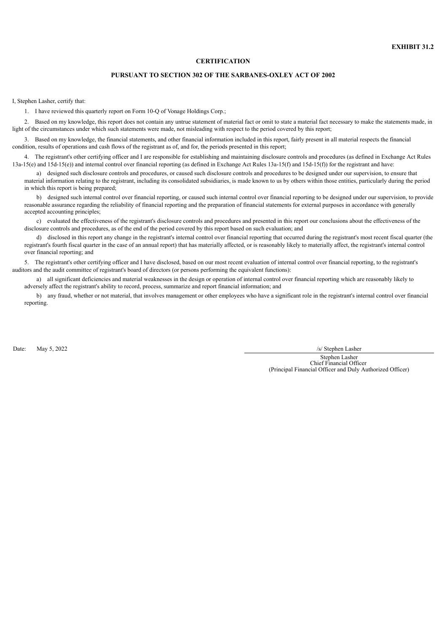## **CERTIFICATION**

## **PURSUANT TO SECTION 302 OF THE SARBANES-OXLEY ACT OF 2002**

<span id="page-41-0"></span>I, Stephen Lasher, certify that:

1. I have reviewed this quarterly report on Form 10-Q of Vonage Holdings Corp.;

2. Based on my knowledge, this report does not contain any untrue statement of material fact or omit to state a material fact necessary to make the statements made, in light of the circumstances under which such statements were made, not misleading with respect to the period covered by this report;

3. Based on my knowledge, the financial statements, and other financial information included in this report, fairly present in all material respects the financial condition, results of operations and cash flows of the registrant as of, and for, the periods presented in this report;

4. The registrant's other certifying officer and I are responsible for establishing and maintaining disclosure controls and procedures (as defined in Exchange Act Rules  $13a-15(e)$  and  $15d-15(e)$ ) and internal control over financial reporting (as defined in Exchange Act Rules  $13a-15(f)$  and  $15d-15(f)$ ) for the registrant and have:

a) designed such disclosure controls and procedures, or caused such disclosure controls and procedures to be designed under our supervision, to ensure that material information relating to the registrant, including its consolidated subsidiaries, is made known to us by others within those entities, particularly during the period in which this report is being prepared;

b) designed such internal control over financial reporting, or caused such internal control over financial reporting to be designed under our supervision, to provide reasonable assurance regarding the reliability of financial reporting and the preparation of financial statements for external purposes in accordance with generally accepted accounting principles;

c) evaluated the effectiveness of the registrant's disclosure controls and procedures and presented in this report our conclusions about the effectiveness of the disclosure controls and procedures, as of the end of the period covered by this report based on such evaluation; and

d) disclosed in this report any change in the registrant's internal control over financial reporting that occurred during the registrant's most recent fiscal quarter (the registrant's fourth fiscal quarter in the case of an annual report) that has materially affected, or is reasonably likely to materially affect, the registrant's internal control over financial reporting; and

5. The registrant's other certifying officer and I have disclosed, based on our most recent evaluation of internal control over financial reporting, to the registrant's auditors and the audit committee of registrant's board of directors (or persons performing the equivalent functions):

a) all significant deficiencies and material weaknesses in the design or operation of internal control over financial reporting which are reasonably likely to adversely affect the registrant's ability to record, process, summarize and report financial information; and

b) any fraud, whether or not material, that involves management or other employees who have a significant role in the registrant's internal control over financial reporting.

Date: May 5, 2022 /s/ Stephen Lasher

Stephen Lasher Chief Financial Officer (Principal Financial Officer and Duly Authorized Officer)